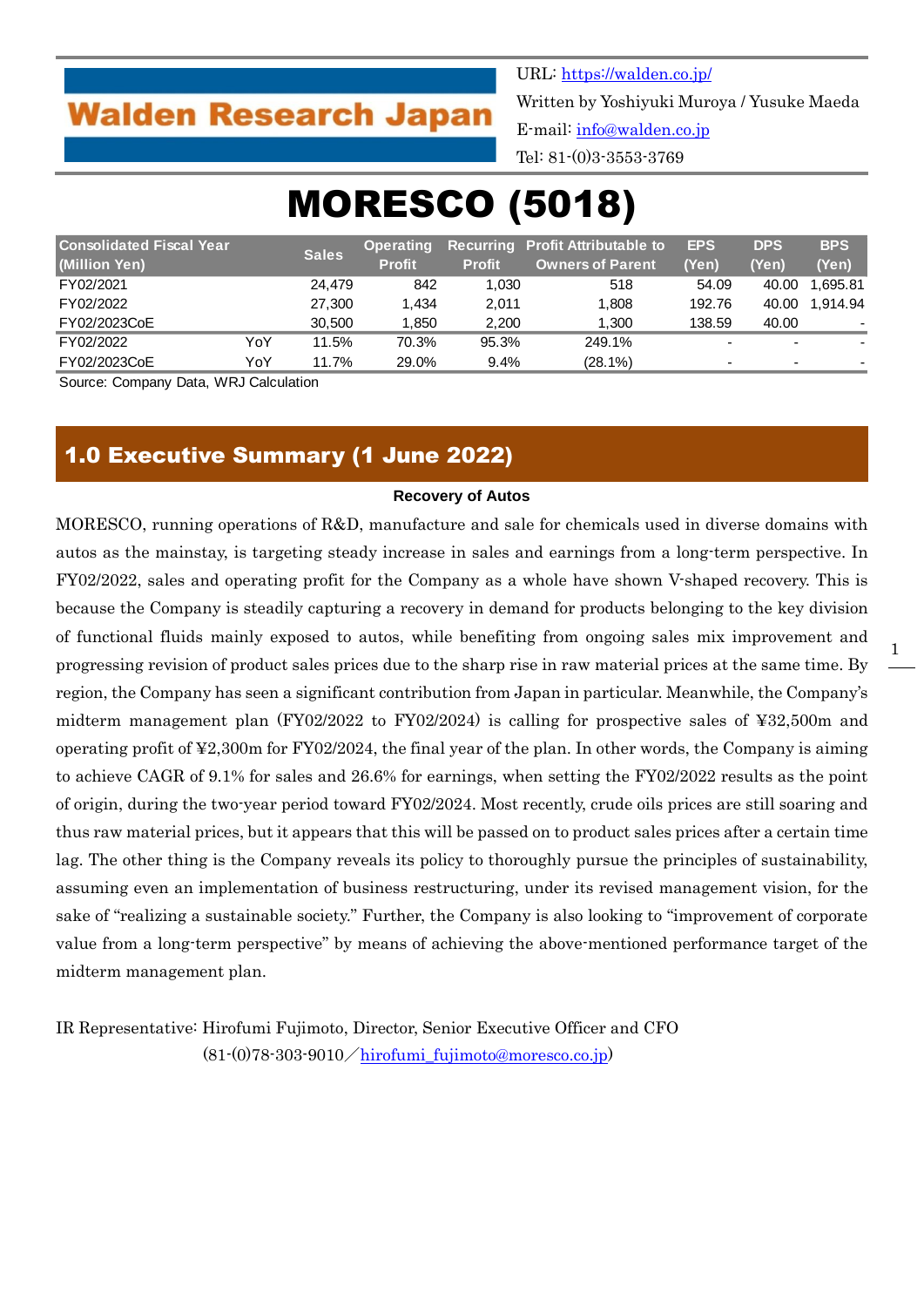## **Walden Research Japan**

URL:<https://walden.co.jp/> Written by Yoshiyuki Muroya / Yusuke Maeda E-mail: [info@walden.co.jp](mailto:info@walden.co.jp) Tel: 81-(0)3-3553-3769

# MORESCO (5018)

| <b>Consolidated Fiscal Year</b> |     |              | <b>Operating</b> |               | <b>Recurring Profit Attributable to</b> | <b>EPS</b> | <b>DPS</b>               | <b>BPS</b>               |
|---------------------------------|-----|--------------|------------------|---------------|-----------------------------------------|------------|--------------------------|--------------------------|
| (Million Yen)                   |     | <b>Sales</b> | <b>Profit</b>    | <b>Profit</b> | <b>Owners of Parent</b>                 | (Yen)      | (Yen)                    | (Yen)                    |
| FY02/2021                       |     | 24.479       | 842              | 1.030         | 518                                     | 54.09      | 40.00                    | 1.695.81                 |
| FY02/2022                       |     | 27,300       | 1.434            | 2.011         | 1.808                                   | 192.76     | 40.00                    | 1.914.94                 |
| FY02/2023CoE                    |     | 30.500       | 1,850            | 2,200         | 1.300                                   | 138.59     | 40.00                    |                          |
| FY02/2022                       | YoY | 11.5%        | 70.3%            | 95.3%         | 249.1%                                  | -          | $\overline{\phantom{0}}$ | $\blacksquare$           |
| FY02/2023CoE                    | YoY | 11.7%        | 29.0%            | 9.4%          | (28.1%)                                 | -          | $\overline{\phantom{0}}$ | $\overline{\phantom{a}}$ |

Source: Company Data, WRJ Calculation

## 1.0 Executive Summary (1 June 2022)

#### **Recovery of Autos**

MORESCO, running operations of R&D, manufacture and sale for chemicals used in diverse domains with autos as the mainstay, is targeting steady increase in sales and earnings from a long-term perspective. In FY02/2022, sales and operating profit for the Company as a whole have shown V-shaped recovery. This is because the Company is steadily capturing a recovery in demand for products belonging to the key division of functional fluids mainly exposed to autos, while benefiting from ongoing sales mix improvement and progressing revision of product sales prices due to the sharp rise in raw material prices at the same time. By region, the Company has seen a significant contribution from Japan in particular. Meanwhile, the Company's midterm management plan (FY02/2022 to FY02/2024) is calling for prospective sales of ¥32,500m and operating profit of ¥2,300m for FY02/2024, the final year of the plan. In other words, the Company is aiming to achieve CAGR of 9.1% for sales and 26.6% for earnings, when setting the FY02/2022 results as the point of origin, during the two-year period toward FY02/2024. Most recently, crude oils prices are still soaring and thus raw material prices, but it appears that this will be passed on to product sales prices after a certain time lag. The other thing is the Company reveals its policy to thoroughly pursue the principles of sustainability, assuming even an implementation of business restructuring, under its revised management vision, for the sake of "realizing a sustainable society." Further, the Company is also looking to "improvement of corporate value from a long-term perspective" by means of achieving the above-mentioned performance target of the midterm management plan.

IR Representative: Hirofumi Fujimoto, Director, Senior Executive Officer and CFO  $(81-(0)78-303-9010/\hbox{hirofumi\_fujimoto@moresco.co.jp})$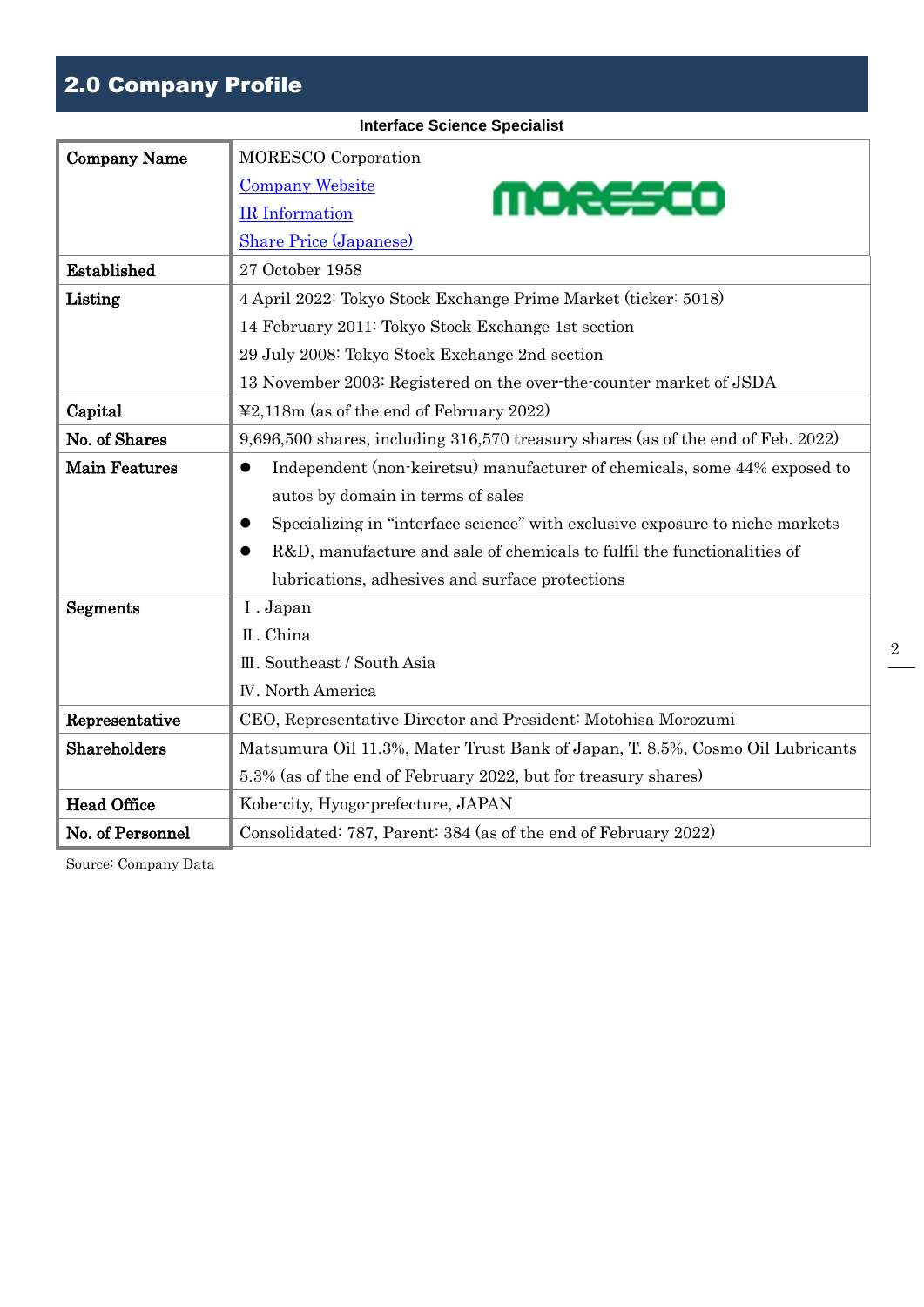## 2.0 Company Profile

|                      | <b>Interface Science Specialist</b>                                                  |  |  |  |  |  |  |
|----------------------|--------------------------------------------------------------------------------------|--|--|--|--|--|--|
| <b>Company Name</b>  | <b>MORESCO</b> Corporation                                                           |  |  |  |  |  |  |
|                      | <b>Company Website</b><br>moresco                                                    |  |  |  |  |  |  |
|                      | IR Information                                                                       |  |  |  |  |  |  |
|                      | <b>Share Price (Japanese)</b>                                                        |  |  |  |  |  |  |
| Established          | 27 October 1958                                                                      |  |  |  |  |  |  |
| Listing              | 4 April 2022: Tokyo Stock Exchange Prime Market (ticker: 5018)                       |  |  |  |  |  |  |
|                      | 14 February 2011: Tokyo Stock Exchange 1st section                                   |  |  |  |  |  |  |
|                      | 29 July 2008: Tokyo Stock Exchange 2nd section                                       |  |  |  |  |  |  |
|                      | 13 November 2003: Registered on the over-the-counter market of JSDA                  |  |  |  |  |  |  |
| Capital              | $\textcolor{blue}{\text{42,118m}}$ (as of the end of February 2022)                  |  |  |  |  |  |  |
| No. of Shares        | 9,696,500 shares, including 316,570 treasury shares (as of the end of Feb. 2022)     |  |  |  |  |  |  |
| <b>Main Features</b> | Independent (non-keiretsu) manufacturer of chemicals, some 44% exposed to            |  |  |  |  |  |  |
|                      | autos by domain in terms of sales                                                    |  |  |  |  |  |  |
|                      | Specializing in "interface science" with exclusive exposure to niche markets<br>0    |  |  |  |  |  |  |
|                      | R&D, manufacture and sale of chemicals to fulfil the functionalities of<br>$\bullet$ |  |  |  |  |  |  |
|                      | lubrications, adhesives and surface protections                                      |  |  |  |  |  |  |
| Segments             | I. Japan                                                                             |  |  |  |  |  |  |
|                      | II. China                                                                            |  |  |  |  |  |  |
|                      | III. Southeast / South Asia                                                          |  |  |  |  |  |  |
|                      | <b>IV.</b> North America                                                             |  |  |  |  |  |  |
| Representative       | CEO, Representative Director and President: Motohisa Morozumi                        |  |  |  |  |  |  |
| Shareholders         | Matsumura Oil 11.3%, Mater Trust Bank of Japan, T. 8.5%, Cosmo Oil Lubricants        |  |  |  |  |  |  |
|                      | 5.3% (as of the end of February 2022, but for treasury shares)                       |  |  |  |  |  |  |
| <b>Head Office</b>   | Kobe-city, Hyogo-prefecture, JAPAN                                                   |  |  |  |  |  |  |
| No. of Personnel     | Consolidated: 787, Parent: 384 (as of the end of February 2022)                      |  |  |  |  |  |  |

Source: Company Data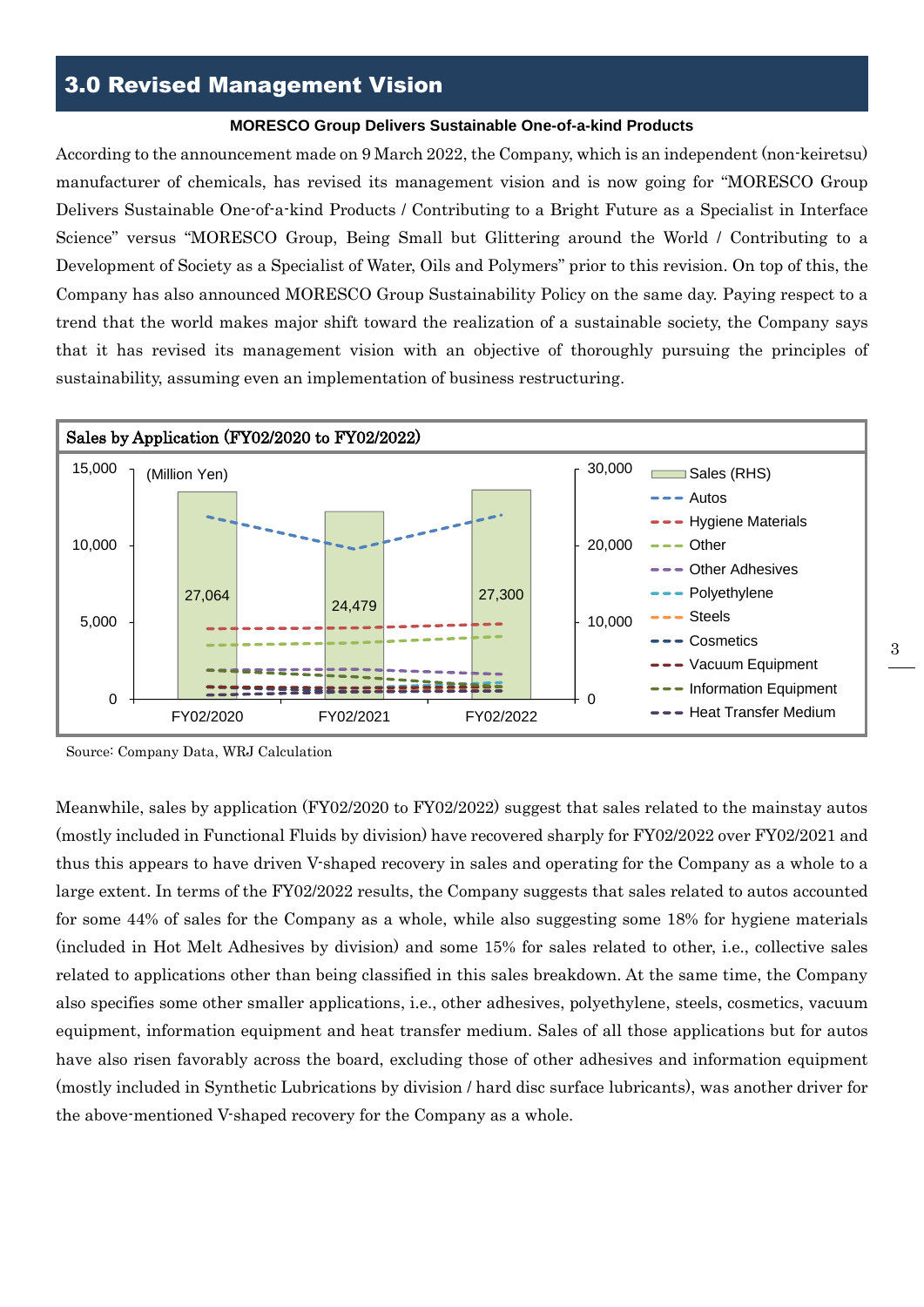#### **MORESCO Group Delivers Sustainable One-of-a-kind Products**

According to the announcement made on 9 March 2022, the Company, which is an independent (non-keiretsu) manufacturer of chemicals, has revised its management vision and is now going for "MORESCO Group Delivers Sustainable One-of-a-kind Products / Contributing to a Bright Future as a Specialist in Interface Science" versus "MORESCO Group, Being Small but Glittering around the World / Contributing to a Development of Society as a Specialist of Water, Oils and Polymers" prior to this revision. On top of this, the Company has also announced MORESCO Group Sustainability Policy on the same day. Paying respect to a trend that the world makes major shift toward the realization of a sustainable society, the Company says that it has revised its management vision with an objective of thoroughly pursuing the principles of sustainability, assuming even an implementation of business restructuring.



Source: Company Data, WRJ Calculation

Meanwhile, sales by application (FY02/2020 to FY02/2022) suggest that sales related to the mainstay autos (mostly included in Functional Fluids by division) have recovered sharply for FY02/2022 over FY02/2021 and thus this appears to have driven V-shaped recovery in sales and operating for the Company as a whole to a large extent. In terms of the FY02/2022 results, the Company suggests that sales related to autos accounted for some 44% of sales for the Company as a whole, while also suggesting some 18% for hygiene materials (included in Hot Melt Adhesives by division) and some 15% for sales related to other, i.e., collective sales related to applications other than being classified in this sales breakdown. At the same time, the Company also specifies some other smaller applications, i.e., other adhesives, polyethylene, steels, cosmetics, vacuum equipment, information equipment and heat transfer medium. Sales of all those applications but for autos have also risen favorably across the board, excluding those of other adhesives and information equipment (mostly included in Synthetic Lubrications by division / hard disc surface lubricants), was another driver for the above-mentioned V-shaped recovery for the Company as a whole.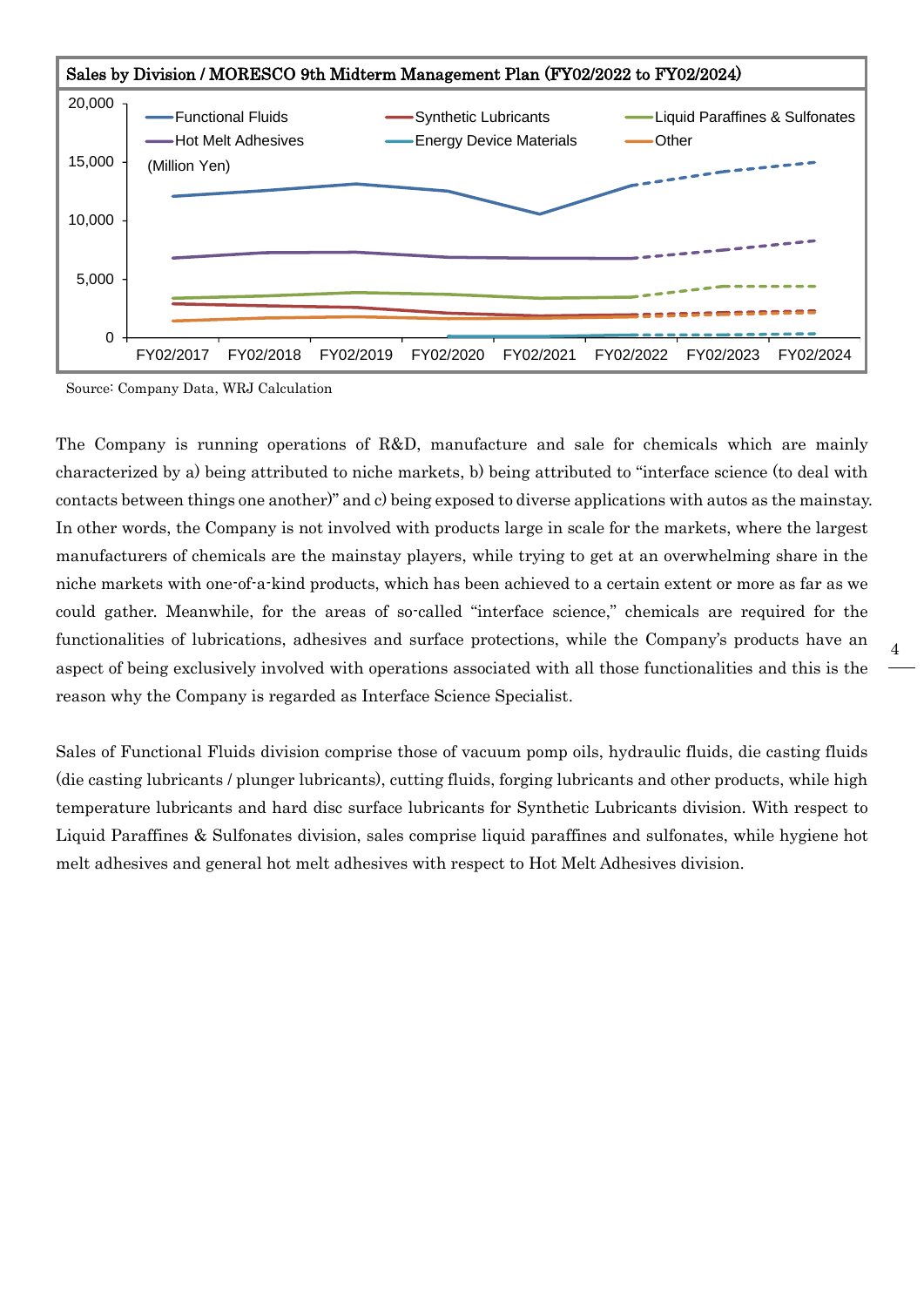

Source: Company Data, WRJ Calculation

The Company is running operations of R&D, manufacture and sale for chemicals which are mainly characterized by a) being attributed to niche markets, b) being attributed to "interface science (to deal with contacts between things one another)" and c) being exposed to diverse applications with autos as the mainstay. In other words, the Company is not involved with products large in scale for the markets, where the largest manufacturers of chemicals are the mainstay players, while trying to get at an overwhelming share in the niche markets with one-of-a-kind products, which has been achieved to a certain extent or more as far as we could gather. Meanwhile, for the areas of so-called "interface science," chemicals are required for the functionalities of lubrications, adhesives and surface protections, while the Company's products have an aspect of being exclusively involved with operations associated with all those functionalities and this is the reason why the Company is regarded as Interface Science Specialist.

Sales of Functional Fluids division comprise those of vacuum pomp oils, hydraulic fluids, die casting fluids (die casting lubricants / plunger lubricants), cutting fluids, forging lubricants and other products, while high temperature lubricants and hard disc surface lubricants for Synthetic Lubricants division. With respect to Liquid Paraffines & Sulfonates division, sales comprise liquid paraffines and sulfonates, while hygiene hot melt adhesives and general hot melt adhesives with respect to Hot Melt Adhesives division.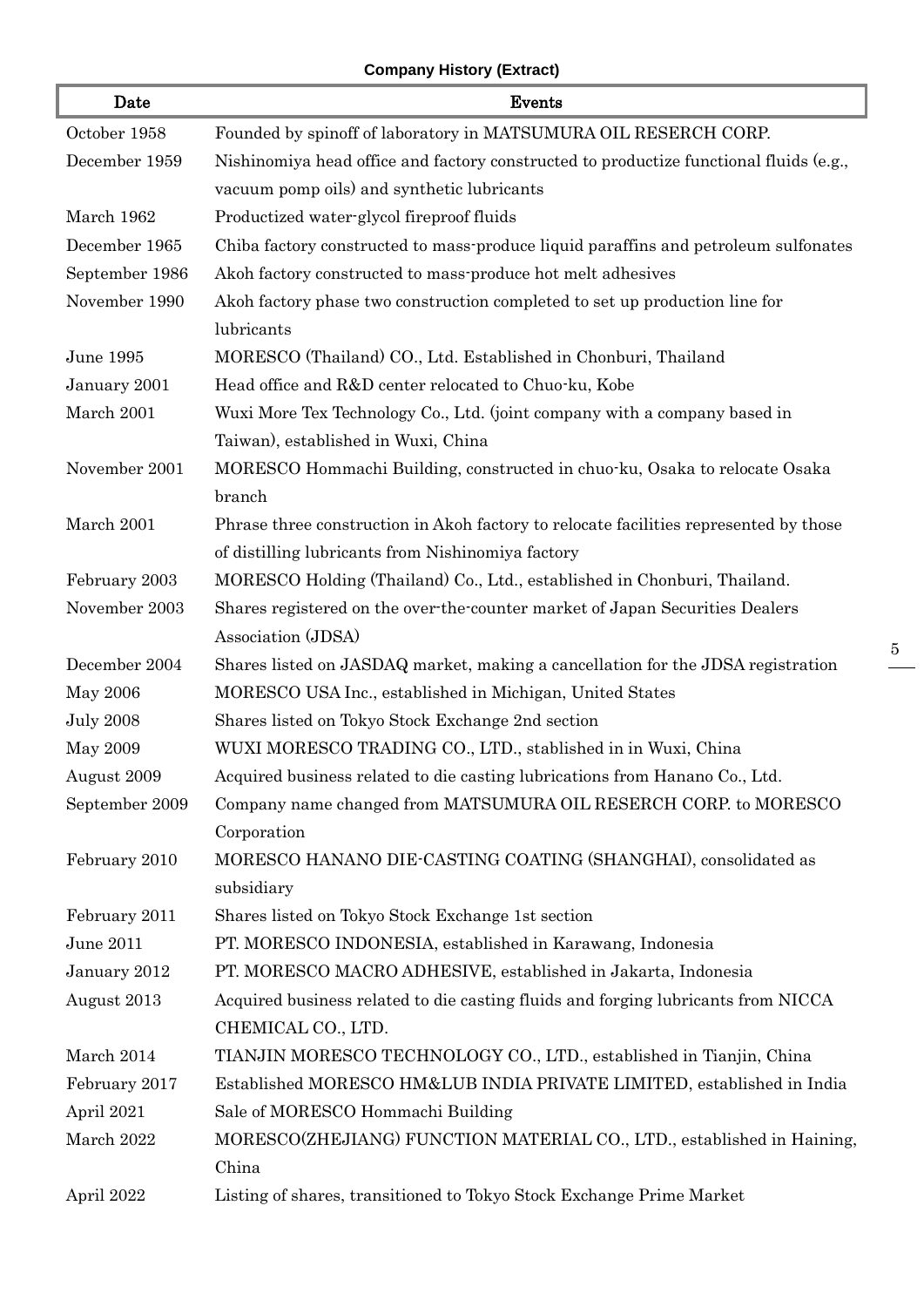## **Company History (Extract)**

I

I

| Date             | Events                                                                                 |
|------------------|----------------------------------------------------------------------------------------|
| October 1958     | Founded by spinoff of laboratory in MATSUMURA OIL RESERCH CORP.                        |
| December 1959    | Nishinomiya head office and factory constructed to productize functional fluids (e.g., |
|                  | vacuum pomp oils) and synthetic lubricants                                             |
| March 1962       | Productized water-glycol fireproof fluids                                              |
| December 1965    | Chiba factory constructed to mass-produce liquid paraffins and petroleum sulfonates    |
| September 1986   | Akoh factory constructed to mass-produce hot melt adhesives                            |
| November 1990    | Akoh factory phase two construction completed to set up production line for            |
|                  | lubricants                                                                             |
| June 1995        | MORESCO (Thailand) CO., Ltd. Established in Chonburi, Thailand                         |
| January 2001     | Head office and R&D center relocated to Chuo-ku, Kobe                                  |
| March 2001       | Wuxi More Tex Technology Co., Ltd. (joint company with a company based in              |
|                  | Taiwan), established in Wuxi, China                                                    |
| November 2001    | MORESCO Hommachi Building, constructed in chuo-ku, Osaka to relocate Osaka             |
|                  | branch                                                                                 |
| March 2001       | Phrase three construction in Akoh factory to relocate facilities represented by those  |
|                  | of distilling lubricants from Nishinomiya factory                                      |
| February 2003    | MORESCO Holding (Thailand) Co., Ltd., established in Chonburi, Thailand.               |
| November 2003    | Shares registered on the over-the-counter market of Japan Securities Dealers           |
|                  | Association (JDSA)                                                                     |
| December 2004    | Shares listed on JASDAQ market, making a cancellation for the JDSA registration        |
| May 2006         | MORESCO USA Inc., established in Michigan, United States                               |
| <b>July 2008</b> | Shares listed on Tokyo Stock Exchange 2nd section                                      |
| May 2009         | WUXI MORESCO TRADING CO., LTD., stablished in in Wuxi, China                           |
| August 2009      | Acquired business related to die casting lubrications from Hanano Co., Ltd.            |
| September 2009   | Company name changed from MATSUMURA OIL RESERCH CORP. to MORESCO                       |
|                  | Corporation                                                                            |
| February 2010    | MORESCO HANANO DIE-CASTING COATING (SHANGHAI), consolidated as                         |
|                  | subsidiary                                                                             |
| February 2011    | Shares listed on Tokyo Stock Exchange 1st section                                      |
| June 2011        | PT. MORESCO INDONESIA, established in Karawang, Indonesia                              |
| January 2012     | PT. MORESCO MACRO ADHESIVE, established in Jakarta, Indonesia                          |
| August 2013      | Acquired business related to die casting fluids and forging lubricants from NICCA      |
|                  | CHEMICAL CO., LTD.                                                                     |
| March 2014       | TIANJIN MORESCO TECHNOLOGY CO., LTD., established in Tianjin, China                    |
| February 2017    | Established MORESCO HM&LUB INDIA PRIVATE LIMITED, established in India                 |
| April 2021       | Sale of MORESCO Hommachi Building                                                      |
| March 2022       | MORESCO(ZHEJIANG) FUNCTION MATERIAL CO., LTD., established in Haining,                 |
|                  | China                                                                                  |
| April 2022       | Listing of shares, transitioned to Tokyo Stock Exchange Prime Market                   |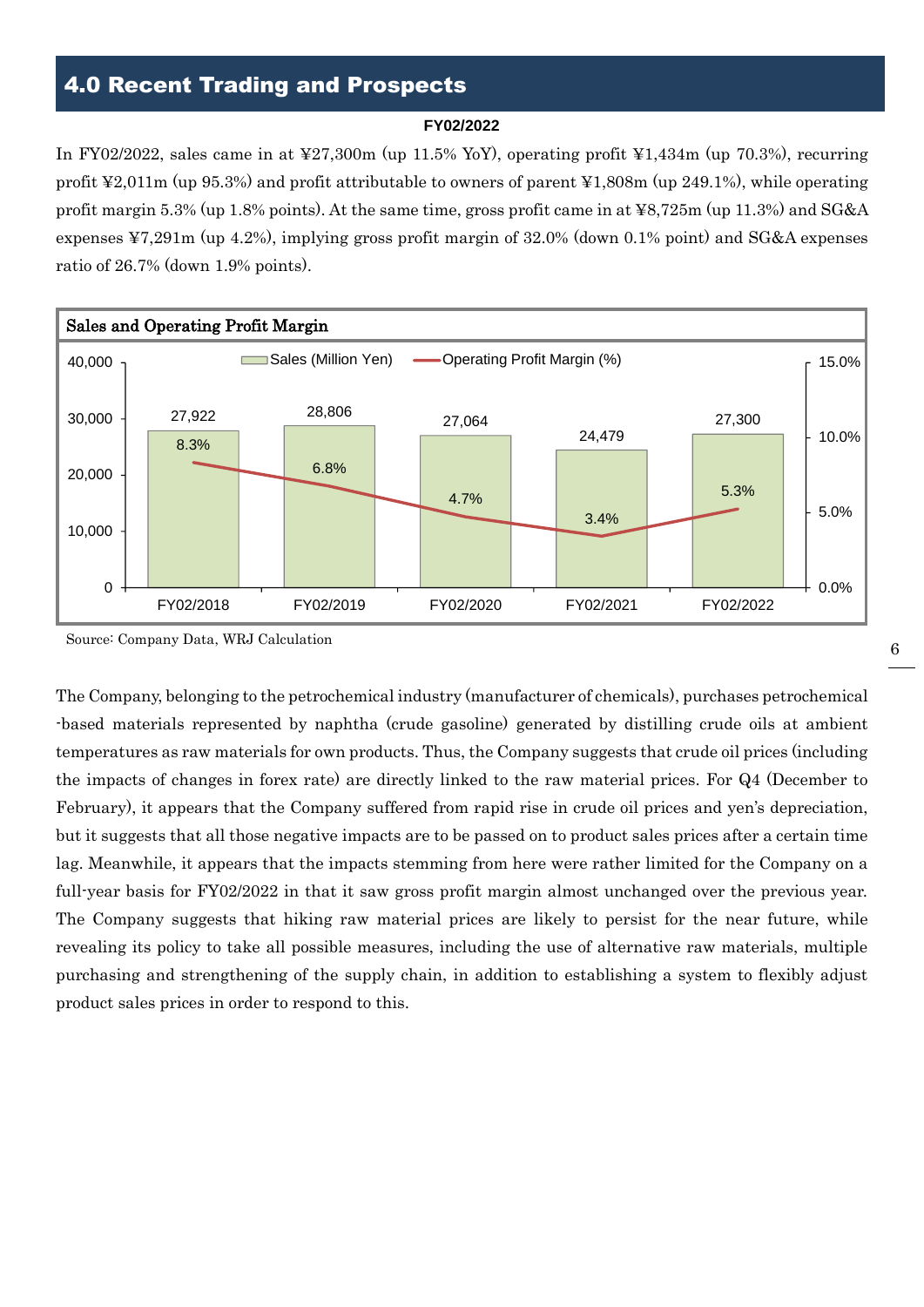## 4.0 Recent Trading and Prospects

#### **FY02/2022**

In FY02/2022, sales came in at ¥27,300m (up 11.5% YoY), operating profit ¥1,434m (up 70.3%), recurring profit ¥2,011m (up 95.3%) and profit attributable to owners of parent ¥1,808m (up 249.1%), while operating profit margin 5.3% (up 1.8% points). At the same time, gross profit came in at ¥8,725m (up 11.3%) and SG&A expenses ¥7,291m (up 4.2%), implying gross profit margin of 32.0% (down 0.1% point) and SG&A expenses ratio of 26.7% (down 1.9% points).



Source: Company Data, WRJ Calculation

The Company, belonging to the petrochemical industry (manufacturer of chemicals), purchases petrochemical -based materials represented by naphtha (crude gasoline) generated by distilling crude oils at ambient temperatures as raw materials for own products. Thus, the Company suggests that crude oil prices (including the impacts of changes in forex rate) are directly linked to the raw material prices. For Q4 (December to February), it appears that the Company suffered from rapid rise in crude oil prices and yen's depreciation, but it suggests that all those negative impacts are to be passed on to product sales prices after a certain time lag. Meanwhile, it appears that the impacts stemming from here were rather limited for the Company on a full-year basis for FY02/2022 in that it saw gross profit margin almost unchanged over the previous year. The Company suggests that hiking raw material prices are likely to persist for the near future, while revealing its policy to take all possible measures, including the use of alternative raw materials, multiple purchasing and strengthening of the supply chain, in addition to establishing a system to flexibly adjust product sales prices in order to respond to this.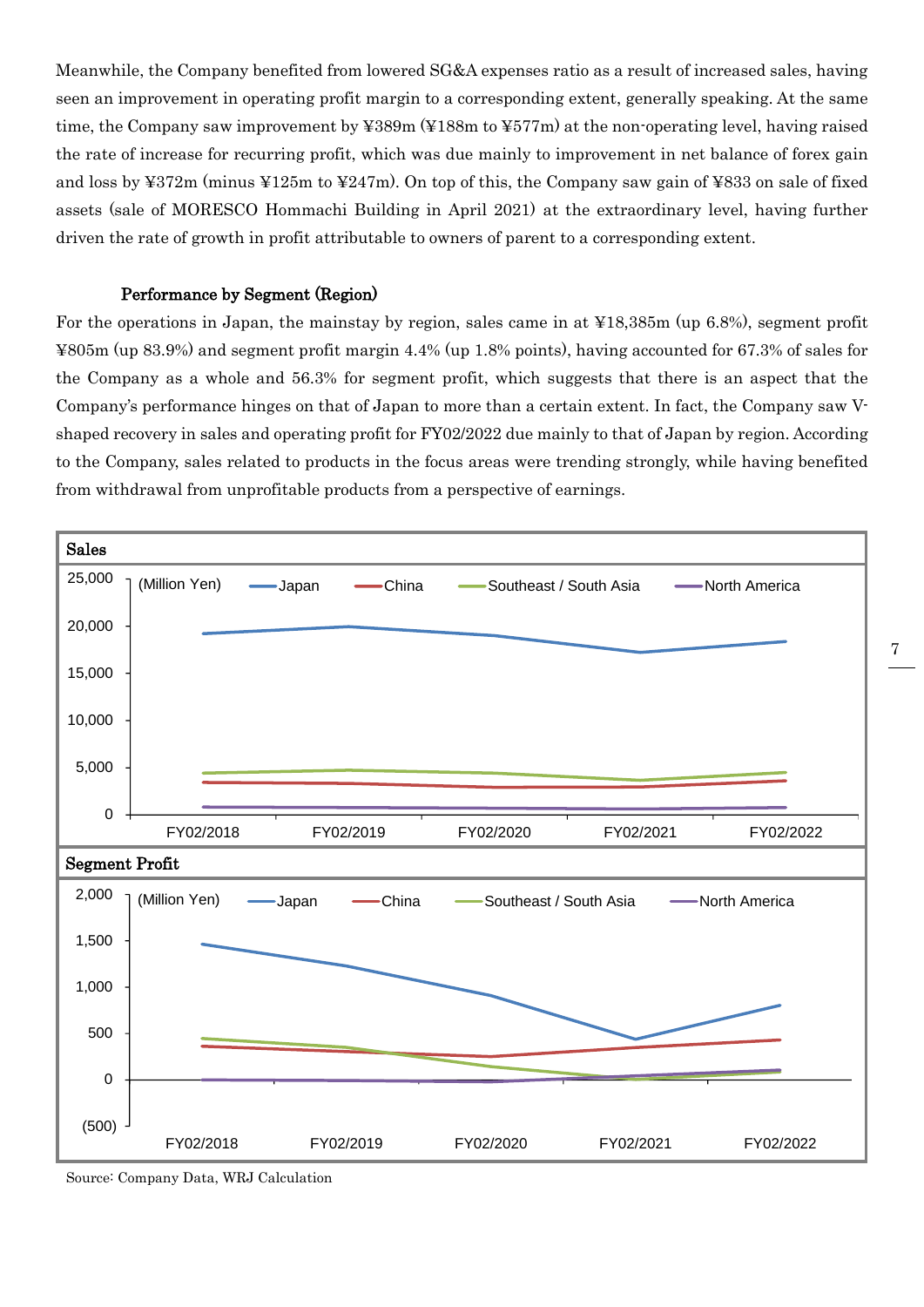Meanwhile, the Company benefited from lowered SG&A expenses ratio as a result of increased sales, having seen an improvement in operating profit margin to a corresponding extent, generally speaking. At the same time, the Company saw improvement by ¥389m (¥188m to ¥577m) at the non-operating level, having raised the rate of increase for recurring profit, which was due mainly to improvement in net balance of forex gain and loss by ¥372m (minus ¥125m to ¥247m). On top of this, the Company saw gain of ¥833 on sale of fixed assets (sale of MORESCO Hommachi Building in April 2021) at the extraordinary level, having further driven the rate of growth in profit attributable to owners of parent to a corresponding extent.

### Performance by Segment (Region)

For the operations in Japan, the mainstay by region, sales came in at ¥18,385m (up 6.8%), segment profit ¥805m (up 83.9%) and segment profit margin 4.4% (up 1.8% points), having accounted for 67.3% of sales for the Company as a whole and 56.3% for segment profit, which suggests that there is an aspect that the Company's performance hinges on that of Japan to more than a certain extent. In fact, the Company saw Vshaped recovery in sales and operating profit for FY02/2022 due mainly to that of Japan by region. According to the Company, sales related to products in the focus areas were trending strongly, while having benefited from withdrawal from unprofitable products from a perspective of earnings.



Source: Company Data, WRJ Calculation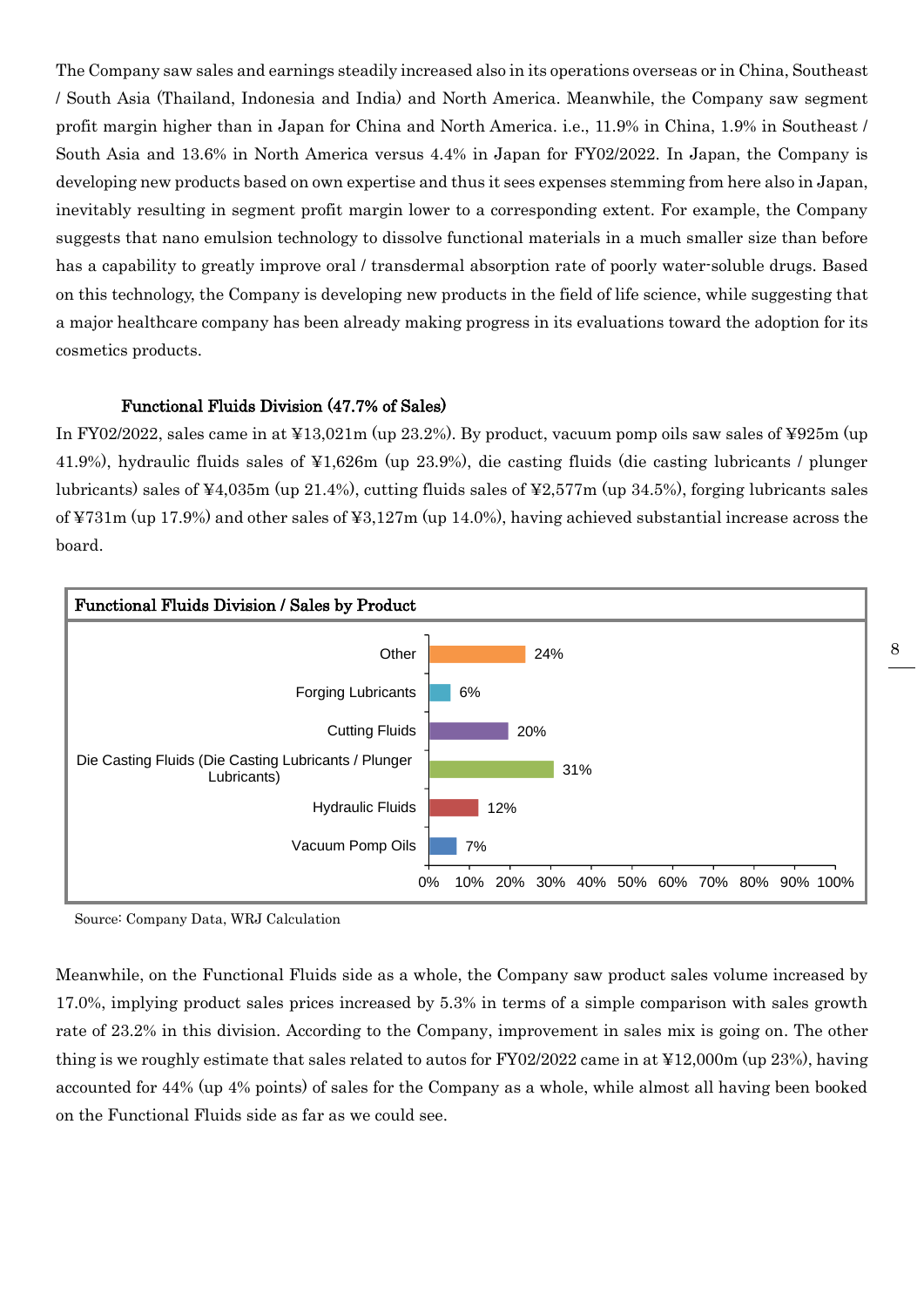The Company saw sales and earnings steadily increased also in its operations overseas or in China, Southeast / South Asia (Thailand, Indonesia and India) and North America. Meanwhile, the Company saw segment profit margin higher than in Japan for China and North America. i.e., 11.9% in China, 1.9% in Southeast / South Asia and 13.6% in North America versus 4.4% in Japan for FY02/2022. In Japan, the Company is developing new products based on own expertise and thus it sees expenses stemming from here also in Japan, inevitably resulting in segment profit margin lower to a corresponding extent. For example, the Company suggests that nano emulsion technology to dissolve functional materials in a much smaller size than before has a capability to greatly improve oral / transdermal absorption rate of poorly water-soluble drugs. Based on this technology, the Company is developing new products in the field of life science, while suggesting that a major healthcare company has been already making progress in its evaluations toward the adoption for its cosmetics products.

### Functional Fluids Division (47.7% of Sales)

In FY02/2022, sales came in at ¥13,021m (up 23.2%). By product, vacuum pomp oils saw sales of ¥925m (up 41.9%), hydraulic fluids sales of ¥1,626m (up 23.9%), die casting fluids (die casting lubricants / plunger lubricants) sales of ¥4,035m (up 21.4%), cutting fluids sales of ¥2,577m (up 34.5%), forging lubricants sales of ¥731m (up 17.9%) and other sales of ¥3,127m (up 14.0%), having achieved substantial increase across the board.



Source: Company Data, WRJ Calculation

Meanwhile, on the Functional Fluids side as a whole, the Company saw product sales volume increased by 17.0%, implying product sales prices increased by 5.3% in terms of a simple comparison with sales growth rate of 23.2% in this division. According to the Company, improvement in sales mix is going on. The other thing is we roughly estimate that sales related to autos for FY02/2022 came in at ¥12,000m (up 23%), having accounted for 44% (up 4% points) of sales for the Company as a whole, while almost all having been booked on the Functional Fluids side as far as we could see.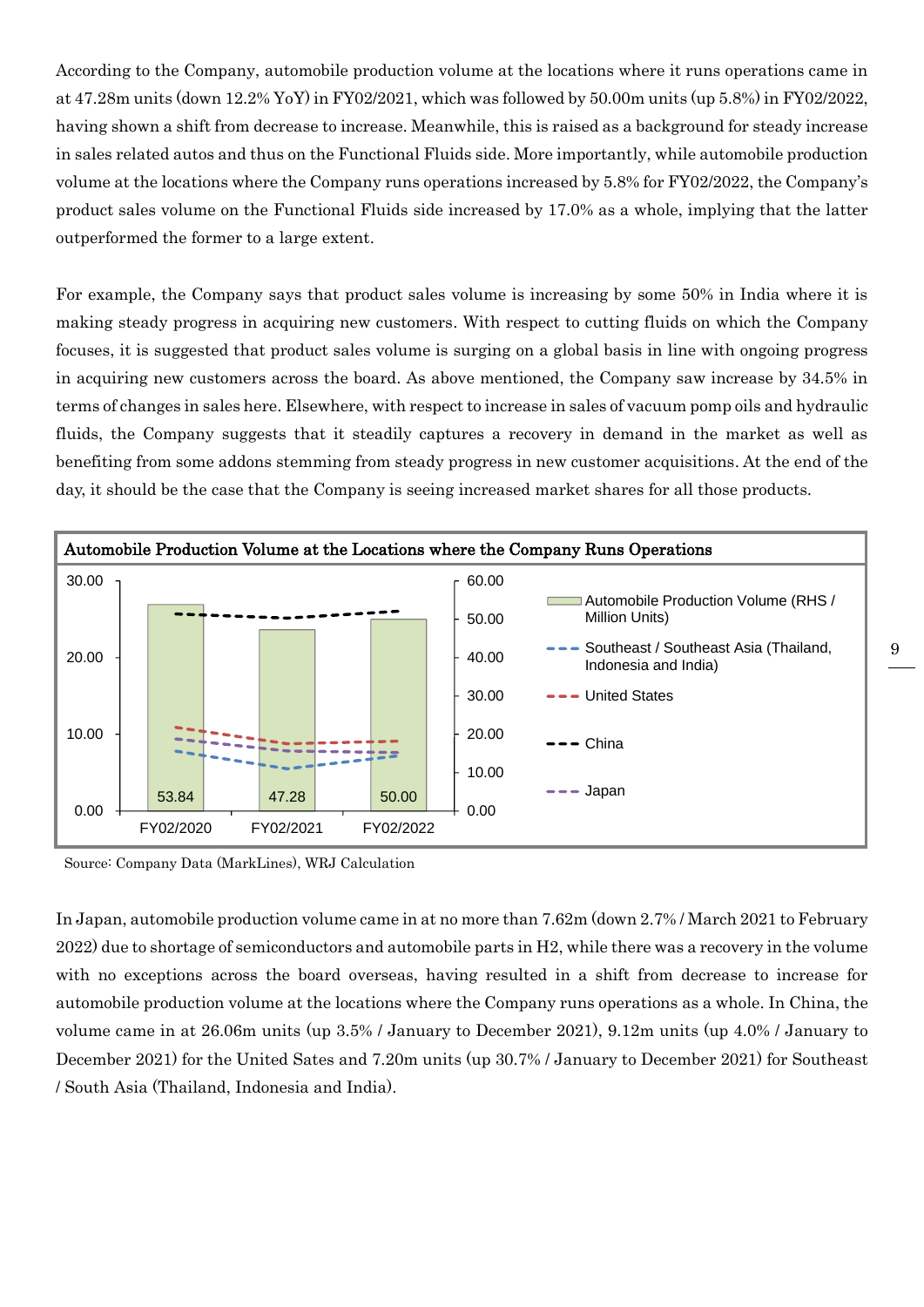According to the Company, automobile production volume at the locations where it runs operations came in at 47.28m units (down 12.2% YoY) in FY02/2021, which was followed by 50.00m units (up 5.8%) in FY02/2022, having shown a shift from decrease to increase. Meanwhile, this is raised as a background for steady increase in sales related autos and thus on the Functional Fluids side. More importantly, while automobile production volume at the locations where the Company runs operations increased by 5.8% for FY02/2022, the Company's product sales volume on the Functional Fluids side increased by 17.0% as a whole, implying that the latter outperformed the former to a large extent.

For example, the Company says that product sales volume is increasing by some 50% in India where it is making steady progress in acquiring new customers. With respect to cutting fluids on which the Company focuses, it is suggested that product sales volume is surging on a global basis in line with ongoing progress in acquiring new customers across the board. As above mentioned, the Company saw increase by 34.5% in terms of changes in sales here. Elsewhere, with respect to increase in sales of vacuum pomp oils and hydraulic fluids, the Company suggests that it steadily captures a recovery in demand in the market as well as benefiting from some addons stemming from steady progress in new customer acquisitions. At the end of the day, it should be the case that the Company is seeing increased market shares for all those products.



Source: Company Data (MarkLines), WRJ Calculation

In Japan, automobile production volume came in at no more than 7.62m (down 2.7% / March 2021 to February 2022) due to shortage of semiconductors and automobile parts in H2, while there was a recovery in the volume with no exceptions across the board overseas, having resulted in a shift from decrease to increase for automobile production volume at the locations where the Company runs operations as a whole. In China, the volume came in at 26.06m units (up 3.5% / January to December 2021), 9.12m units (up 4.0% / January to December 2021) for the United Sates and 7.20m units (up 30.7% / January to December 2021) for Southeast / South Asia (Thailand, Indonesia and India).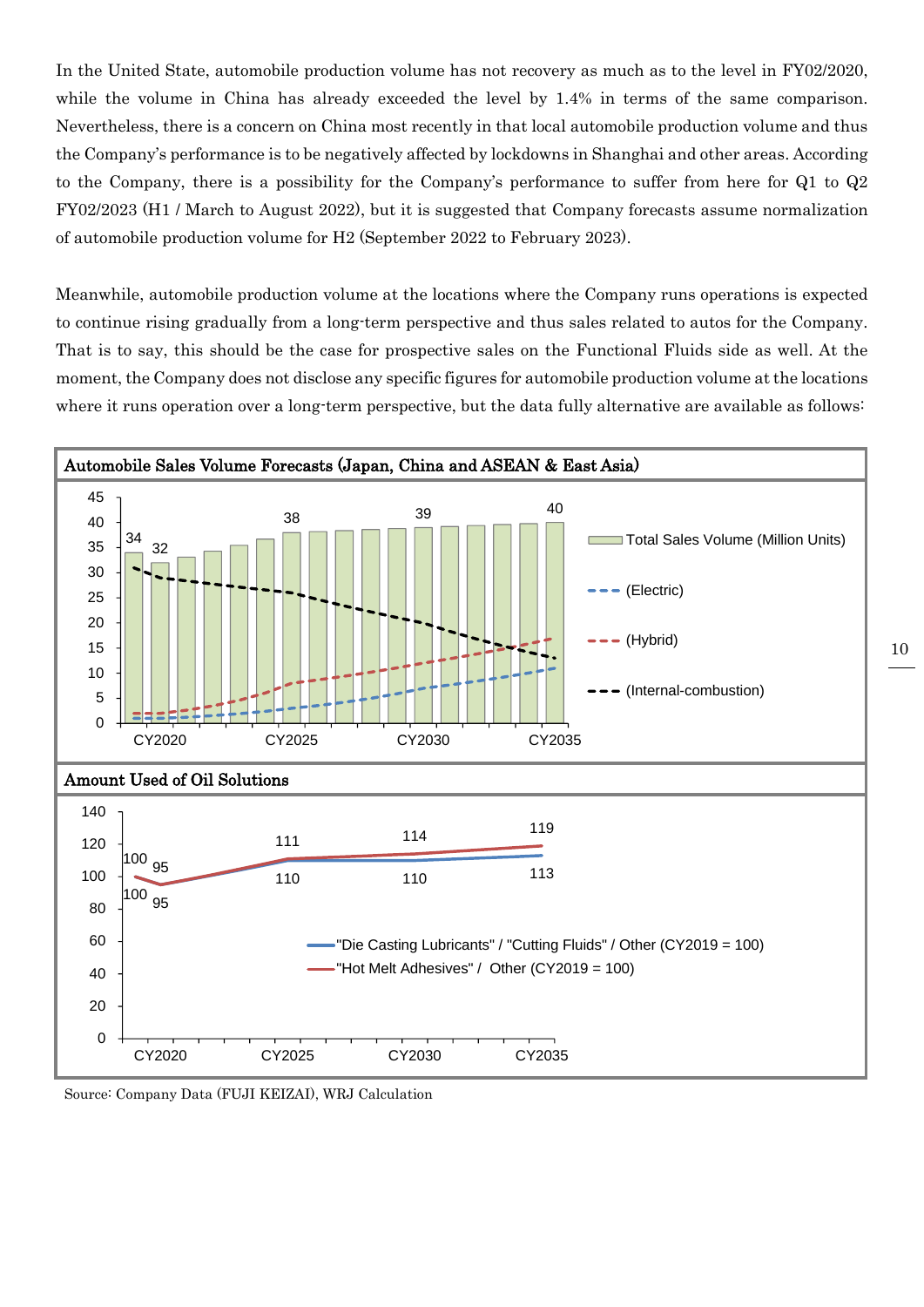In the United State, automobile production volume has not recovery as much as to the level in FY02/2020, while the volume in China has already exceeded the level by 1.4% in terms of the same comparison. Nevertheless, there is a concern on China most recently in that local automobile production volume and thus the Company's performance is to be negatively affected by lockdowns in Shanghai and other areas. According to the Company, there is a possibility for the Company's performance to suffer from here for Q1 to Q2 FY02/2023 (H1 / March to August 2022), but it is suggested that Company forecasts assume normalization of automobile production volume for H2 (September 2022 to February 2023).

Meanwhile, automobile production volume at the locations where the Company runs operations is expected to continue rising gradually from a long-term perspective and thus sales related to autos for the Company. That is to say, this should be the case for prospective sales on the Functional Fluids side as well. At the moment, the Company does not disclose any specific figures for automobile production volume at the locations where it runs operation over a long-term perspective, but the data fully alternative are available as follows:



Source: Company Data (FUJI KEIZAI), WRJ Calculation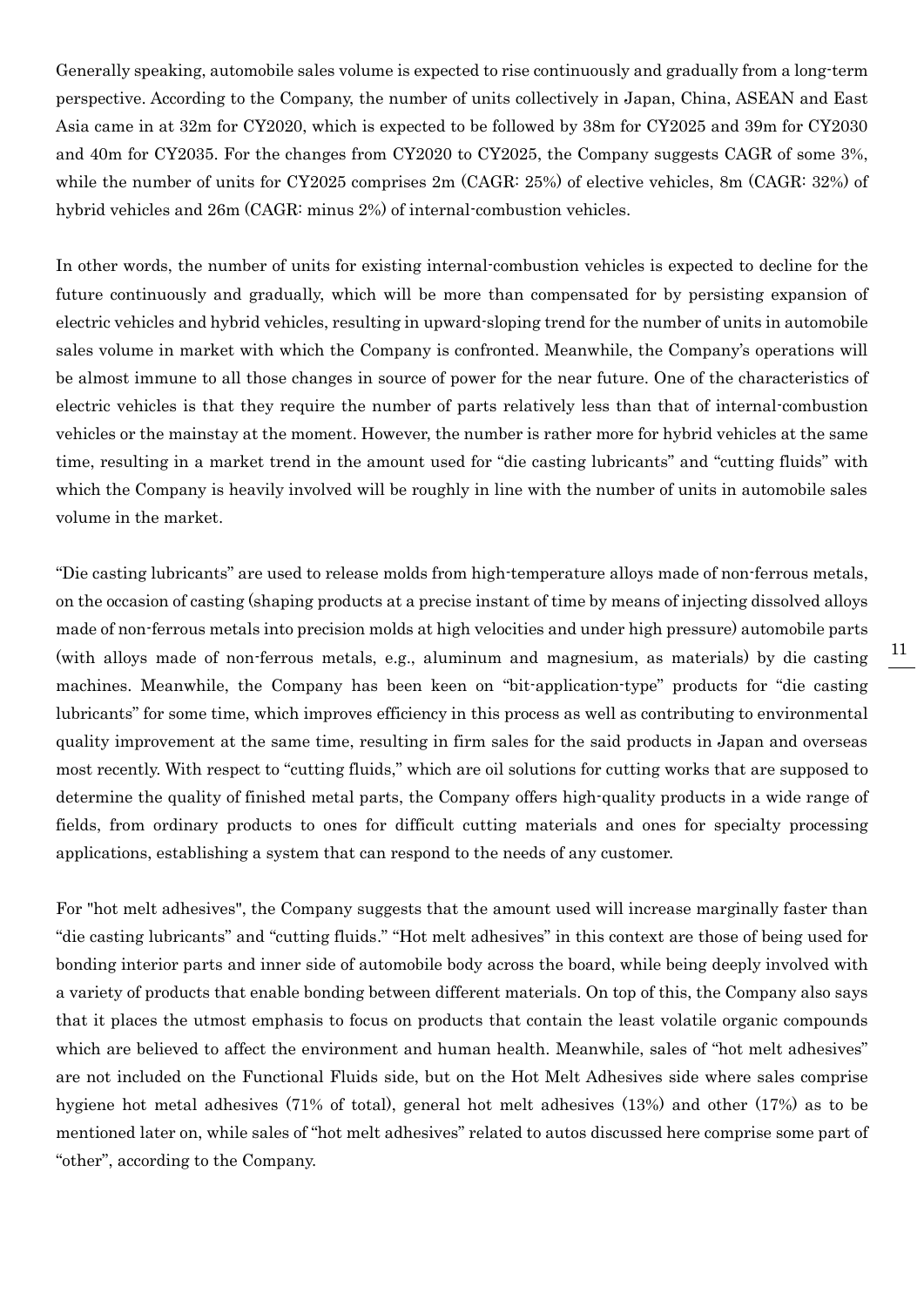Generally speaking, automobile sales volume is expected to rise continuously and gradually from a long-term perspective. According to the Company, the number of units collectively in Japan, China, ASEAN and East Asia came in at 32m for CY2020, which is expected to be followed by 38m for CY2025 and 39m for CY2030 and 40m for CY2035. For the changes from CY2020 to CY2025, the Company suggests CAGR of some 3%, while the number of units for CY2025 comprises  $2m$  (CAGR: 25%) of elective vehicles, 8m (CAGR: 32%) of hybrid vehicles and 26m (CAGR: minus 2%) of internal-combustion vehicles.

In other words, the number of units for existing internal-combustion vehicles is expected to decline for the future continuously and gradually, which will be more than compensated for by persisting expansion of electric vehicles and hybrid vehicles, resulting in upward-sloping trend for the number of units in automobile sales volume in market with which the Company is confronted. Meanwhile, the Company's operations will be almost immune to all those changes in source of power for the near future. One of the characteristics of electric vehicles is that they require the number of parts relatively less than that of internal-combustion vehicles or the mainstay at the moment. However, the number is rather more for hybrid vehicles at the same time, resulting in a market trend in the amount used for "die casting lubricants" and "cutting fluids" with which the Company is heavily involved will be roughly in line with the number of units in automobile sales volume in the market.

"Die casting lubricants" are used to release molds from high-temperature alloys made of non-ferrous metals, on the occasion of casting (shaping products at a precise instant of time by means of injecting dissolved alloys made of non-ferrous metals into precision molds at high velocities and under high pressure) automobile parts (with alloys made of non-ferrous metals, e.g., aluminum and magnesium, as materials) by die casting machines. Meanwhile, the Company has been keen on "bit-application-type" products for "die casting lubricants" for some time, which improves efficiency in this process as well as contributing to environmental quality improvement at the same time, resulting in firm sales for the said products in Japan and overseas most recently. With respect to "cutting fluids," which are oil solutions for cutting works that are supposed to determine the quality of finished metal parts, the Company offers high-quality products in a wide range of fields, from ordinary products to ones for difficult cutting materials and ones for specialty processing applications, establishing a system that can respond to the needs of any customer.

For "hot melt adhesives", the Company suggests that the amount used will increase marginally faster than "die casting lubricants" and "cutting fluids." "Hot melt adhesives" in this context are those of being used for bonding interior parts and inner side of automobile body across the board, while being deeply involved with a variety of products that enable bonding between different materials. On top of this, the Company also says that it places the utmost emphasis to focus on products that contain the least volatile organic compounds which are believed to affect the environment and human health. Meanwhile, sales of "hot melt adhesives" are not included on the Functional Fluids side, but on the Hot Melt Adhesives side where sales comprise hygiene hot metal adhesives (71% of total), general hot melt adhesives (13%) and other (17%) as to be mentioned later on, while sales of "hot melt adhesives" related to autos discussed here comprise some part of "other", according to the Company.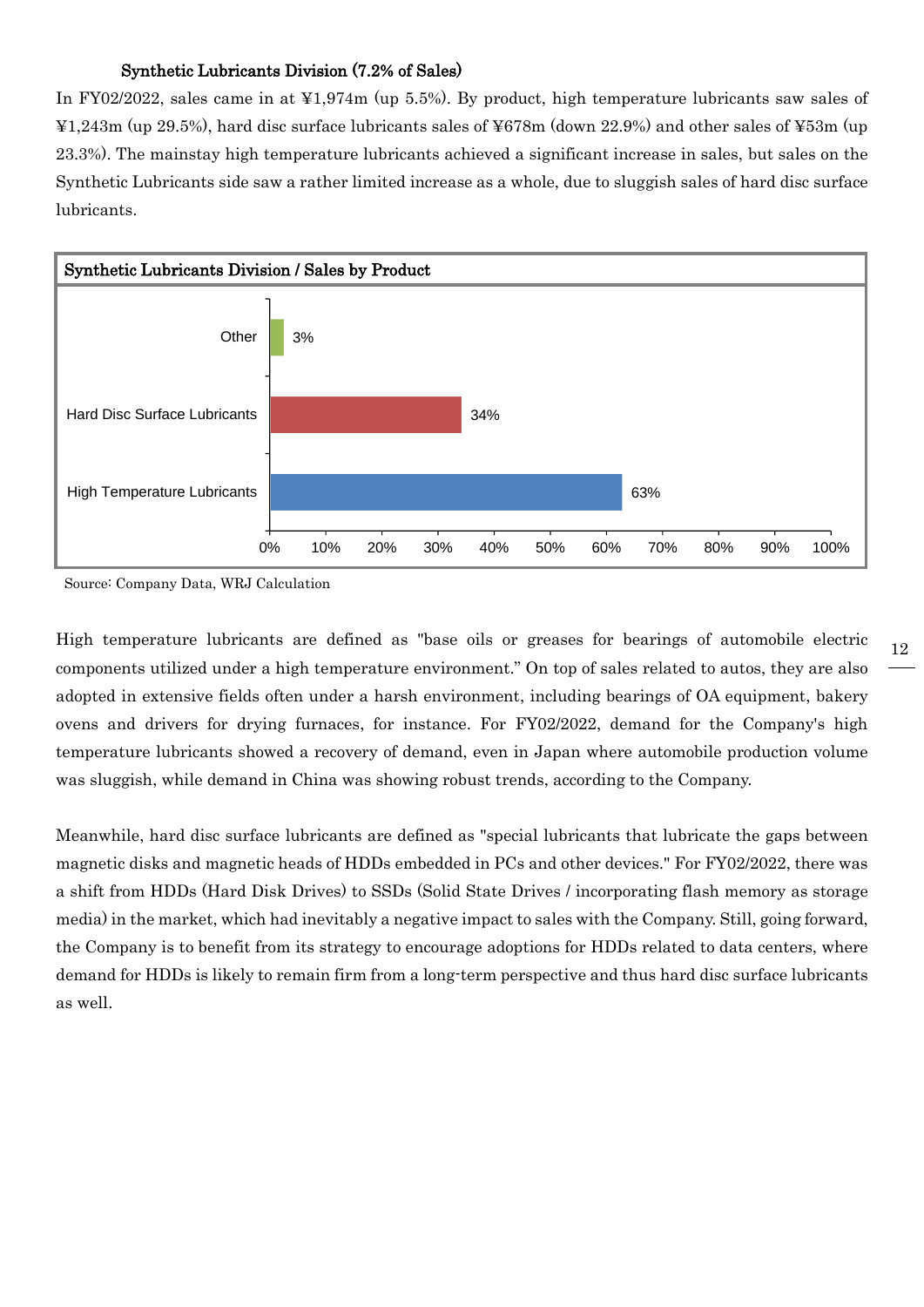## Synthetic Lubricants Division (7.2% of Sales)

In FY02/2022, sales came in at ¥1,974m (up 5.5%). By product, high temperature lubricants saw sales of ¥1,243m (up 29.5%), hard disc surface lubricants sales of ¥678m (down 22.9%) and other sales of ¥53m (up 23.3%). The mainstay high temperature lubricants achieved a significant increase in sales, but sales on the Synthetic Lubricants side saw a rather limited increase as a whole, due to sluggish sales of hard disc surface lubricants.



Source: Company Data, WRJ Calculation

High temperature lubricants are defined as "base oils or greases for bearings of automobile electric components utilized under a high temperature environment." On top of sales related to autos, they are also adopted in extensive fields often under a harsh environment, including bearings of OA equipment, bakery ovens and drivers for drying furnaces, for instance. For FY02/2022, demand for the Company's high temperature lubricants showed a recovery of demand, even in Japan where automobile production volume was sluggish, while demand in China was showing robust trends, according to the Company.

Meanwhile, hard disc surface lubricants are defined as "special lubricants that lubricate the gaps between magnetic disks and magnetic heads of HDDs embedded in PCs and other devices." For FY02/2022, there was a shift from HDDs (Hard Disk Drives) to SSDs (Solid State Drives / incorporating flash memory as storage media) in the market, which had inevitably a negative impact to sales with the Company. Still, going forward, the Company is to benefit from its strategy to encourage adoptions for HDDs related to data centers, where demand for HDDs is likely to remain firm from a long-term perspective and thus hard disc surface lubricants as well.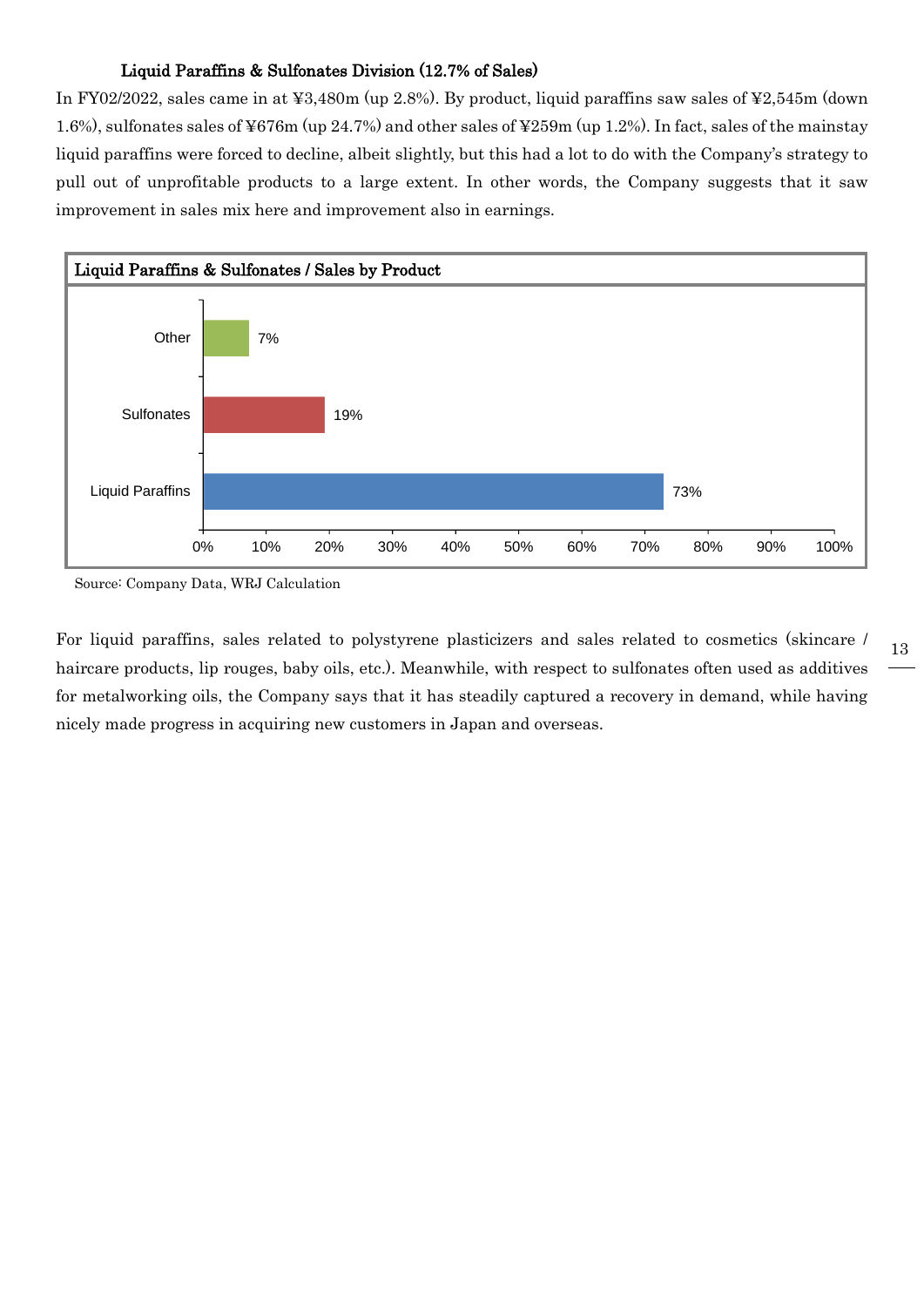### Liquid Paraffins & Sulfonates Division (12.7% of Sales)

In FY02/2022, sales came in at ¥3,480m (up 2.8%). By product, liquid paraffins saw sales of ¥2,545m (down 1.6%), sulfonates sales of ¥676m (up 24.7%) and other sales of ¥259m (up 1.2%). In fact, sales of the mainstay liquid paraffins were forced to decline, albeit slightly, but this had a lot to do with the Company's strategy to pull out of unprofitable products to a large extent. In other words, the Company suggests that it saw improvement in sales mix here and improvement also in earnings.



Source: Company Data, WRJ Calculation

For liquid paraffins, sales related to polystyrene plasticizers and sales related to cosmetics (skincare / haircare products, lip rouges, baby oils, etc.). Meanwhile, with respect to sulfonates often used as additives for metalworking oils, the Company says that it has steadily captured a recovery in demand, while having nicely made progress in acquiring new customers in Japan and overseas.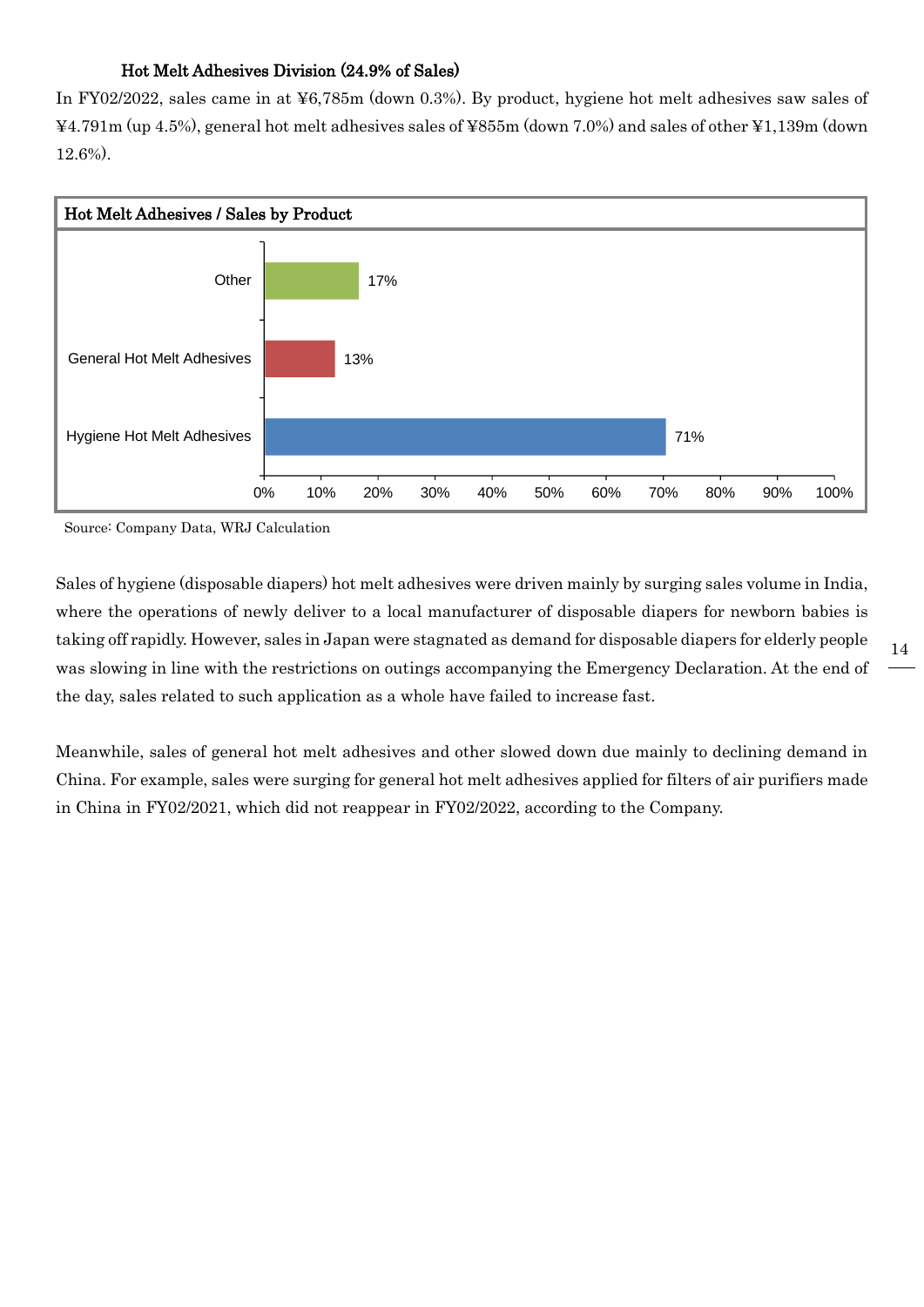## Hot Melt Adhesives Division (24.9% of Sales)

In FY02/2022, sales came in at ¥6,785m (down 0.3%). By product, hygiene hot melt adhesives saw sales of ¥4.791m (up 4.5%), general hot melt adhesives sales of ¥855m (down 7.0%) and sales of other ¥1,139m (down 12.6%).



Source: Company Data, WRJ Calculation

Sales of hygiene (disposable diapers) hot melt adhesives were driven mainly by surging sales volume in India, where the operations of newly deliver to a local manufacturer of disposable diapers for newborn babies is taking off rapidly. However, sales in Japan were stagnated as demand for disposable diapers for elderly people was slowing in line with the restrictions on outings accompanying the Emergency Declaration. At the end of the day, sales related to such application as a whole have failed to increase fast.

Meanwhile, sales of general hot melt adhesives and other slowed down due mainly to declining demand in China. For example, sales were surging for general hot melt adhesives applied for filters of air purifiers made in China in FY02/2021, which did not reappear in FY02/2022, according to the Company.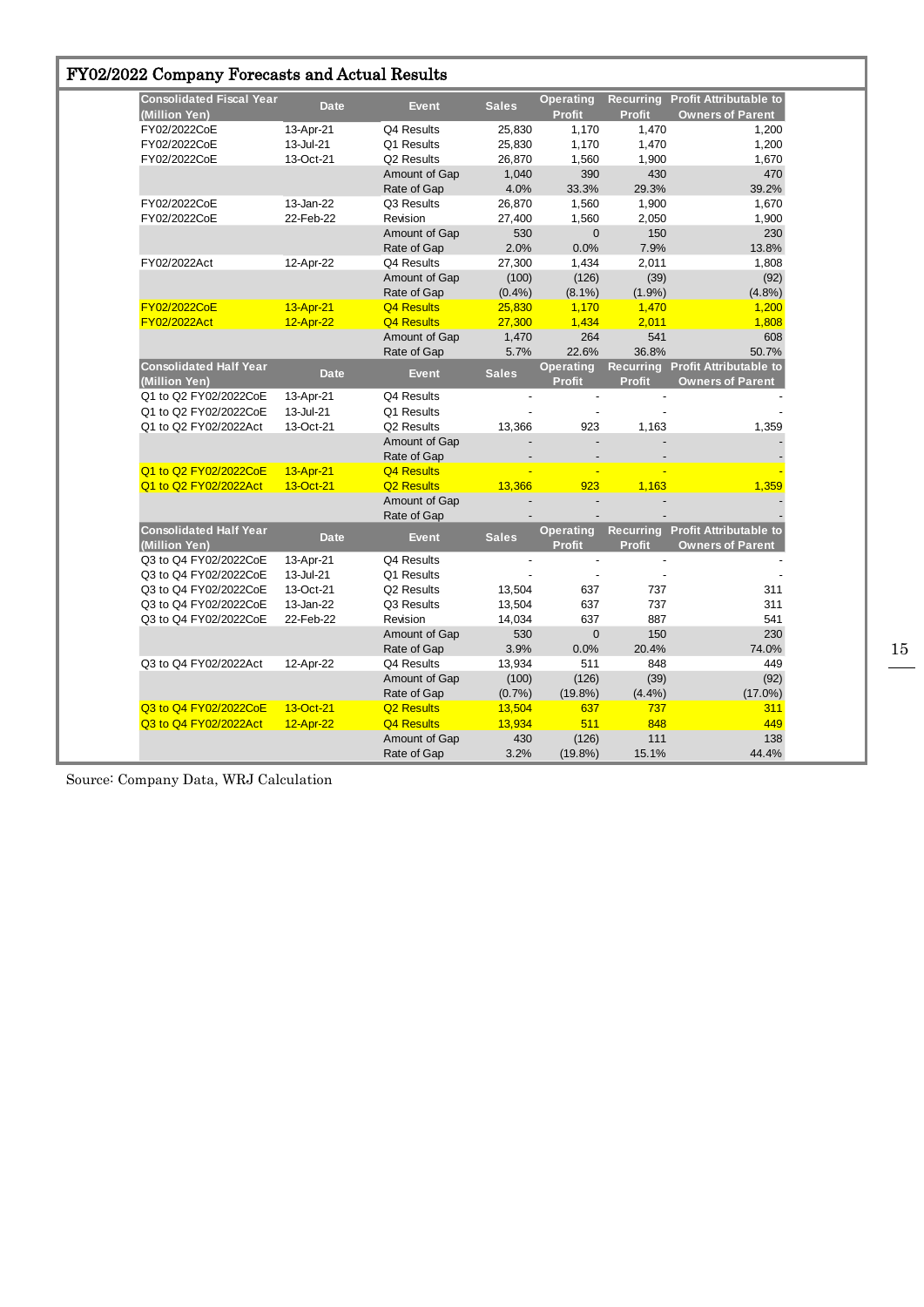| FY02/2022 Company Forecasts and Actual Results |  |  |  |  |  |
|------------------------------------------------|--|--|--|--|--|
|------------------------------------------------|--|--|--|--|--|

| <b>Consolidated Fiscal Year</b><br>(Million Yen) | <b>Date</b> | <b>Event</b>      | <b>Sales</b> | <b>Operating</b><br><b>Profit</b> | <b>Profit</b> | <b>Recurring Profit Attributable to</b><br><b>Owners of Parent</b> |
|--------------------------------------------------|-------------|-------------------|--------------|-----------------------------------|---------------|--------------------------------------------------------------------|
| FY02/2022CoE                                     | 13-Apr-21   | Q4 Results        | 25,830       | 1,170                             | 1,470         | 1,200                                                              |
| FY02/2022CoE                                     | 13-Jul-21   | Q1 Results        | 25,830       | 1,170                             | 1,470         | 1,200                                                              |
| FY02/2022CoE                                     | 13-Oct-21   | Q2 Results        | 26,870       | 1,560                             | 1,900         | 1,670                                                              |
|                                                  |             | Amount of Gap     | 1,040        | 390                               | 430           | 470                                                                |
|                                                  |             | Rate of Gap       | 4.0%         | 33.3%                             | 29.3%         | 39.2%                                                              |
| FY02/2022CoE                                     | 13-Jan-22   | Q3 Results        | 26,870       | 1,560                             | 1,900         | 1,670                                                              |
| FY02/2022CoE                                     | 22-Feb-22   | Revision          | 27,400       | 1,560                             | 2,050         | 1,900                                                              |
|                                                  |             | Amount of Gap     | 530          | 0                                 | 150           | 230                                                                |
|                                                  |             | Rate of Gap       | 2.0%         | 0.0%                              | 7.9%          | 13.8%                                                              |
| FY02/2022Act                                     | 12-Apr-22   | Q4 Results        | 27,300       | 1,434                             | 2,011         | 1,808                                                              |
|                                                  |             | Amount of Gap     | (100)        | (126)                             | (39)          | (92)                                                               |
|                                                  |             | Rate of Gap       | (0.4% )      | $(8.1\%)$                         | $(1.9\%)$     | (4.8%)                                                             |
| FY02/2022CoE                                     | 13-Apr-21   | <b>Q4 Results</b> | 25,830       | 1,170                             | 1,470         | 1,200                                                              |
| FY02/2022Act                                     | 12-Apr-22   | Q4 Results        | 27,300       | 1,434                             | 2,011         | 1,808                                                              |
|                                                  |             | Amount of Gap     | 1,470        | 264                               | 541           | 608                                                                |
|                                                  |             | Rate of Gap       | 5.7%         | 22.6%                             | 36.8%         | 50.7%                                                              |
| <b>Consolidated Half Year</b>                    |             |                   | <b>Sales</b> | Operating                         |               | Recurring Profit Attributable to                                   |
| (Million Yen)                                    | <b>Date</b> | <b>Event</b>      |              | Profit                            | Profit        | <b>Owners of Parent</b>                                            |
| Q1 to Q2 FY02/2022CoE                            | 13-Apr-21   | Q4 Results        |              |                                   |               |                                                                    |
| Q1 to Q2 FY02/2022CoE                            | 13-Jul-21   | Q1 Results        |              |                                   |               |                                                                    |
| Q1 to Q2 FY02/2022Act                            | 13-Oct-21   | Q2 Results        | 13,366       | 923                               | 1,163         | 1,359                                                              |
|                                                  |             | Amount of Gap     |              |                                   |               |                                                                    |
|                                                  |             | Rate of Gap       |              |                                   |               |                                                                    |
| Q1 to Q2 FY02/2022CoE                            | 13-Apr-21   | <b>Q4 Results</b> |              |                                   |               |                                                                    |
| Q1 to Q2 FY02/2022Act                            | 13-Oct-21   | <b>Q2 Results</b> | 13,366       | 923                               | 1,163         | 1,359                                                              |
|                                                  |             | Amount of Gap     |              |                                   |               |                                                                    |
|                                                  |             | Rate of Gap       |              |                                   |               |                                                                    |
| <b>Consolidated Half Year</b><br>(Million Yen)   | <b>Date</b> | <b>Event</b>      | <b>Sales</b> | <b>Operating</b><br><b>Profit</b> | Profit        | Recurring Profit Attributable to<br><b>Owners of Parent</b>        |
| Q3 to Q4 FY02/2022CoE                            | 13-Apr-21   | Q4 Results        |              |                                   |               |                                                                    |
| Q3 to Q4 FY02/2022CoE                            | 13-Jul-21   | Q1 Results        |              |                                   |               |                                                                    |
| Q3 to Q4 FY02/2022CoE                            | 13-Oct-21   | Q2 Results        | 13,504       | 637                               | 737           | 311                                                                |
| Q3 to Q4 FY02/2022CoE                            | 13-Jan-22   | Q3 Results        | 13,504       | 637                               | 737           | 311                                                                |
| Q3 to Q4 FY02/2022CoE                            | 22-Feb-22   | Revision          | 14,034       | 637                               | 887           | 541                                                                |
|                                                  |             | Amount of Gap     | 530          | $\mathbf 0$                       | 150           | 230                                                                |
|                                                  |             | Rate of Gap       | 3.9%         | 0.0%                              | 20.4%         | 74.0%                                                              |
| Q3 to Q4 FY02/2022Act                            | 12-Apr-22   | Q4 Results        | 13,934       | 511                               | 848           | 449                                                                |
|                                                  |             | Amount of Gap     | (100)        | (126)                             | (39)          | (92)                                                               |
|                                                  |             | Rate of Gap       | $(0.7\%)$    | $(19.8\%)$                        | (4.4%)        | $(17.0\%)$                                                         |
| Q3 to Q4 FY02/2022CoE                            | 13-Oct-21   | <b>Q2 Results</b> | 13,504       | 637                               | 737           | 311                                                                |
| Q3 to Q4 FY02/2022Act                            | 12-Apr-22   | Q4 Results        | 13,934       | 511                               | 848           | 449                                                                |
|                                                  |             | Amount of Gap     | 430          | (126)                             | 111           | 138                                                                |
|                                                  |             | Rate of Gap       | 3.2%         | $(19.8\%)$                        | 15.1%         | 44.4%                                                              |
|                                                  |             |                   |              |                                   |               |                                                                    |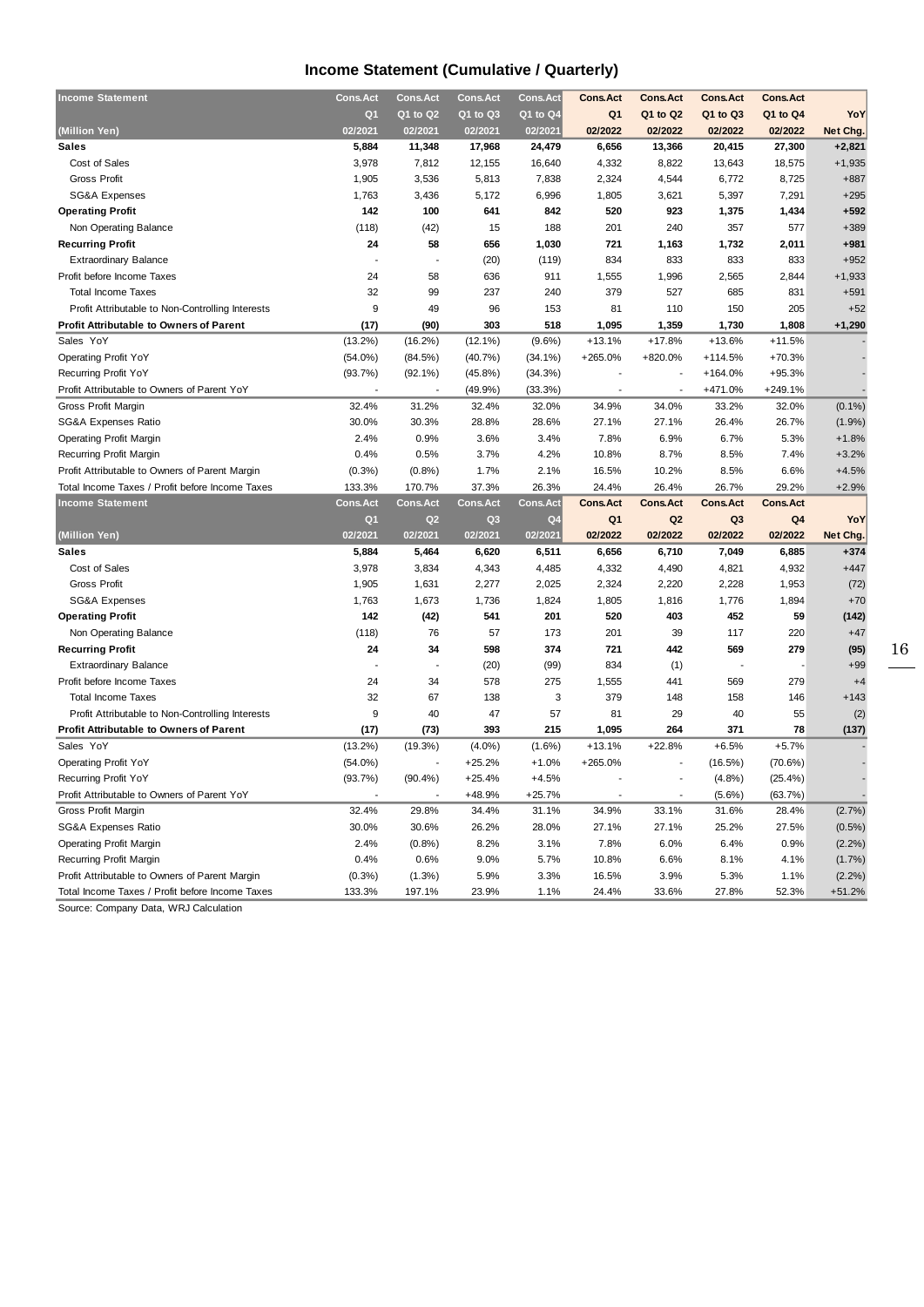## **Income Statement (Cumulative / Quarterly)**

| <b>Income Statement</b>                          | <b>Cons.Act</b> | <b>Cons.Act</b> | <b>Cons.Act</b> | <b>Cons.Act</b> | <b>Cons.Act</b> | <b>Cons.Act</b> | <b>Cons.Act</b> | <b>Cons.Act</b> |                    |
|--------------------------------------------------|-----------------|-----------------|-----------------|-----------------|-----------------|-----------------|-----------------|-----------------|--------------------|
|                                                  | Q <sub>1</sub>  | Q1 to Q2        | Q1 to Q3        | Q1 to Q4        | Q <sub>1</sub>  | Q1 to Q2        | Q1 to Q3        | Q1 to Q4        | YoY                |
| (Million Yen)                                    | 02/2021         | 02/2021         | 02/2021         | 02/2021         | 02/2022         | 02/2022         | 02/2022         | 02/2022         | Net Chg.           |
| <b>Sales</b>                                     | 5,884           | 11,348          | 17,968          | 24,479          | 6,656           | 13,366          | 20,415          | 27,300          | $+2,821$           |
| Cost of Sales                                    | 3,978           | 7,812           | 12,155          | 16,640          | 4,332           | 8,822           | 13,643          | 18,575          | $+1,935$           |
| <b>Gross Profit</b>                              | 1,905           | 3,536           | 5,813           | 7,838           | 2,324           | 4,544           | 6,772           | 8,725           | $+887$             |
| SG&A Expenses                                    | 1,763           | 3,436           | 5,172           | 6,996           | 1,805           | 3,621           | 5,397           | 7,291           | $+295$             |
| <b>Operating Profit</b>                          | 142             | 100             | 641             | 842             | 520             | 923             | 1,375           | 1,434           | $+592$             |
| Non Operating Balance                            | (118)           | (42)            | 15              | 188             | 201             | 240             | 357             | 577             | $+389$             |
| <b>Recurring Profit</b>                          | 24              | 58              | 656             | 1,030           | 721             | 1,163           | 1,732           | 2,011           | $+981$             |
| <b>Extraordinary Balance</b>                     |                 |                 | (20)            | (119)           | 834             | 833             | 833             | 833             | $+952$             |
| Profit before Income Taxes                       | 24              | 58              | 636             | 911             | 1,555           | 1,996           | 2,565           | 2,844           | $+1,933$           |
| <b>Total Income Taxes</b>                        | 32              | 99              | 237             | 240             | 379             | 527             | 685             | 831             | $+591$             |
| Profit Attributable to Non-Controlling Interests | 9               | 49              | 96              | 153             | 81              | 110             | 150             | 205             | $+52$              |
| <b>Profit Attributable to Owners of Parent</b>   | (17)            | (90)            | 303             | 518             | 1,095           | 1,359           | 1,730           | 1,808           | $+1,290$           |
| Sales YoY                                        | $(13.2\%)$      | $(16.2\%)$      | $(12.1\%)$      | $(9.6\%)$       | $+13.1%$        | $+17.8%$        | $+13.6%$        | $+11.5%$        |                    |
| <b>Operating Profit YoY</b>                      | $(54.0\%)$      | (84.5%)         | (40.7%          | $(34.1\%)$      | $+265.0%$       | +820.0%         | $+114.5%$       | $+70.3%$        |                    |
| Recurring Profit YoY                             | (93.7%)         | $(92.1\%)$      | $(45.8\%)$      | (34.3%)         |                 |                 | $+164.0%$       | $+95.3%$        |                    |
| Profit Attributable to Owners of Parent YoY      |                 |                 | (49.9%)         | (33.3%)         |                 |                 | +471.0%         | $+249.1%$       |                    |
| Gross Profit Margin                              | 32.4%           | 31.2%           | 32.4%           | 32.0%           | 34.9%           | 34.0%           | 33.2%           | 32.0%           | $(0.1\%)$          |
| SG&A Expenses Ratio                              | 30.0%           | 30.3%           | 28.8%           | 28.6%           | 27.1%           | 27.1%           | 26.4%           | 26.7%           | (1.9%)             |
| <b>Operating Profit Margin</b>                   | 2.4%            | 0.9%            | 3.6%            | 3.4%            | 7.8%            | 6.9%            | 6.7%            | 5.3%            | $+1.8%$            |
| Recurring Profit Margin                          | 0.4%            | 0.5%            | 3.7%            | 4.2%            | 10.8%           | 8.7%            | 8.5%            | 7.4%            | $+3.2%$            |
| Profit Attributable to Owners of Parent Margin   | (0.3%           | (0.8%           | 1.7%            | 2.1%            | 16.5%           | 10.2%           | 8.5%            | 6.6%            | $+4.5%$            |
| Total Income Taxes / Profit before Income Taxes  | 133.3%          | 170.7%          | 37.3%           | 26.3%           | 24.4%           | 26.4%           | 26.7%           | 29.2%           | $+2.9%$            |
|                                                  |                 |                 |                 |                 |                 |                 |                 |                 |                    |
| <b>Income Statement</b>                          | <b>Cons.Act</b> | <b>Cons.Act</b> | <b>Cons.Act</b> | <b>Cons.Act</b> | <b>Cons.Act</b> | <b>Cons.Act</b> | <b>Cons.Act</b> | <b>Cons.Act</b> |                    |
|                                                  | Q <sub>1</sub>  | Q <sub>2</sub>  | Q <sub>3</sub>  | Q <sub>4</sub>  | Q <sub>1</sub>  | Q <sub>2</sub>  | Q <sub>3</sub>  | Q4              | YoY                |
| (Million Yen)                                    | 02/2021         | 02/2021         | 02/2021         | 02/2021         | 02/2022         | 02/2022         | 02/2022         | 02/2022         | Net Chg.           |
| <b>Sales</b>                                     | 5,884           | 5,464           | 6,620           | 6,511           | 6,656           | 6,710           | 7,049           | 6,885           | $+374$             |
| Cost of Sales                                    | 3,978           | 3,834           | 4,343           | 4,485           | 4,332           | 4,490           | 4,821           | 4,932           | $+447$             |
| <b>Gross Profit</b>                              | 1,905           | 1,631           | 2,277           | 2,025           | 2,324           | 2,220           | 2,228           | 1,953           | (72)               |
| SG&A Expenses                                    | 1,763           | 1,673           | 1,736           | 1,824           | 1,805           | 1,816           | 1,776           | 1,894           | $+70$              |
| <b>Operating Profit</b>                          | 142             | (42)            | 541             | 201             | 520             | 403             | 452             | 59              | (142)              |
| Non Operating Balance                            | (118)           | 76              | 57              | 173             | 201             | 39              | 117             | 220             | $+47$              |
| <b>Recurring Profit</b>                          | 24              | 34              | 598             | 374             | 721             | 442             | 569             | 279             | (95)               |
| <b>Extraordinary Balance</b>                     |                 |                 | (20)            | (99)            | 834             | (1)             | ÷,              |                 | $+99$              |
| Profit before Income Taxes                       | 24              | 34              | 578             | 275             | 1,555           | 441             | 569             | 279             | $+4$               |
| <b>Total Income Taxes</b>                        | 32              | 67              | 138             | 3               | 379             | 148             | 158             | 146             | $+143$             |
| Profit Attributable to Non-Controlling Interests | 9               | 40              | 47              | 57              | 81              | 29              | 40              | 55              | (2)                |
| <b>Profit Attributable to Owners of Parent</b>   | (17)            | (73)            | 393             | 215             | 1,095           | 264             | 371             | 78              | (137)              |
| Sales YoY                                        | $(13.2\%)$      | $(19.3\%)$      | $(4.0\%)$       | $(1.6\%)$       | $+13.1%$        | $+22.8%$        | $+6.5%$         | $+5.7%$         |                    |
| <b>Operating Profit YoY</b>                      | $(54.0\%)$      |                 | $+25.2%$        | $+1.0%$         | +265.0%         |                 | $(16.5\%)$      | $(70.6\%)$      |                    |
| Recurring Profit YoY                             | (93.7%)         | $(90.4\%)$      | $+25.4%$        | $+4.5%$         |                 | $\overline{a}$  | (4.8%)          | (25.4%)         |                    |
| Profit Attributable to Owners of Parent YoY      |                 |                 | +48.9%          | $+25.7%$        |                 |                 | $(5.6\%)$       | (63.7%)         |                    |
| Gross Profit Margin                              | 32.4%           | 29.8%           | 34.4%           | 31.1%           | 34.9%           | 33.1%           | 31.6%           | 28.4%           | (2.7%)             |
| SG&A Expenses Ratio                              | 30.0%           | 30.6%           | 26.2%           | 28.0%           | 27.1%           | 27.1%           | 25.2%           | 27.5%           | (0.5%              |
| <b>Operating Profit Margin</b>                   | 2.4%            | (0.8%           | 8.2%            | 3.1%            | 7.8%            | 6.0%            | 6.4%            | 0.9%            | (2.2%)             |
| Recurring Profit Margin                          | 0.4%            | 0.6%            | 9.0%            | 5.7%            | 10.8%           | 6.6%            | 8.1%            | 4.1%            | (1.7%              |
| Profit Attributable to Owners of Parent Margin   | (0.3%)          | $(1.3\%)$       | 5.9%            | 3.3%            | 16.5%           | 3.9%            | 5.3%            | 1.1%            | (2.2%)<br>$+51.2%$ |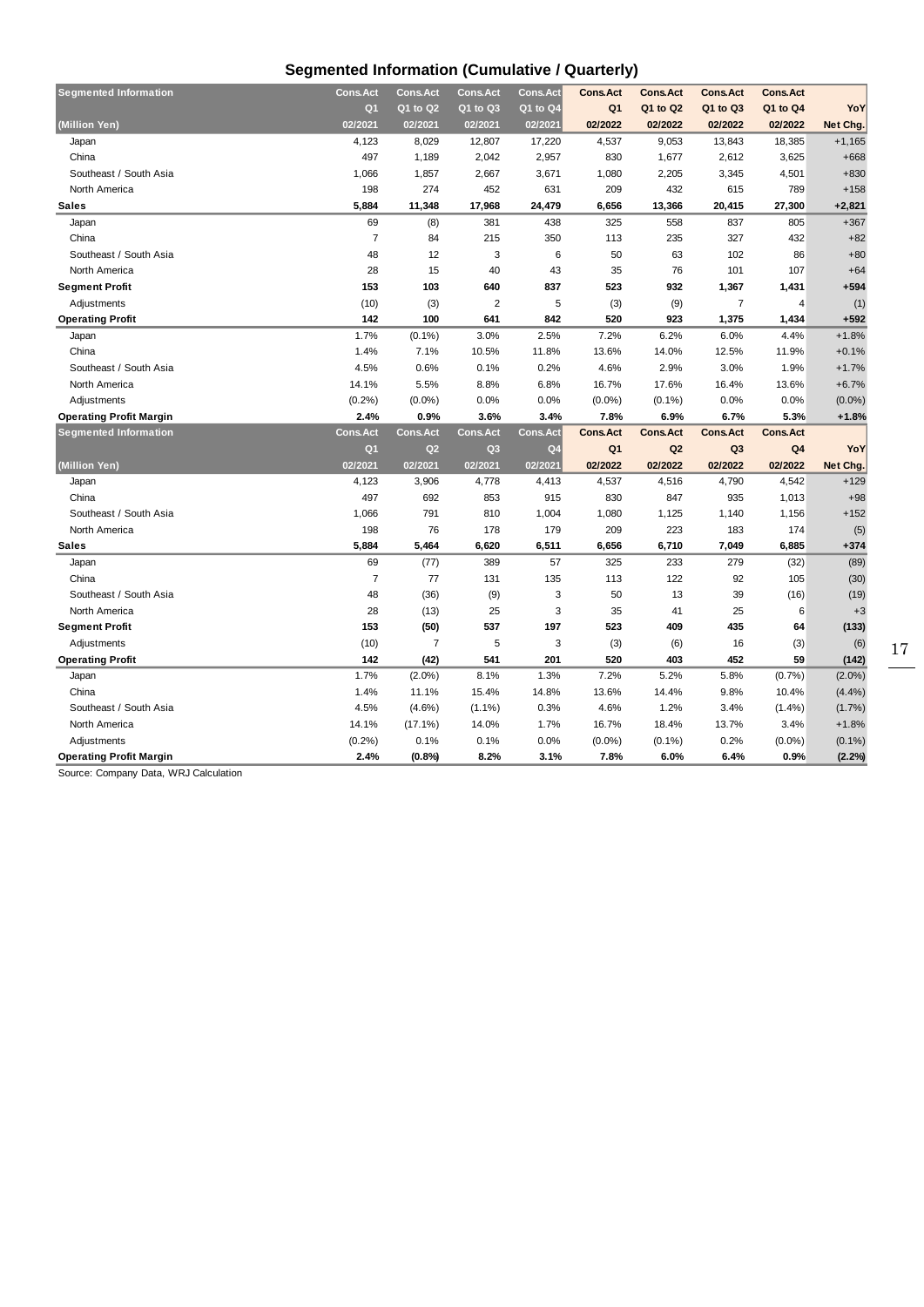## **Segmented Information (Cumulative / Quarterly)**

| <b>Segmented Information</b>   | <b>Cons.Act</b> | <b>Cons.Act</b> | <b>Cons.Act</b> | <b>Cons.Act</b> | <b>Cons.Act</b> | <b>Cons.Act</b> | <b>Cons.Act</b> | <b>Cons.Act</b> |           |
|--------------------------------|-----------------|-----------------|-----------------|-----------------|-----------------|-----------------|-----------------|-----------------|-----------|
|                                | Q <sub>1</sub>  | Q1 to Q2        | Q1 to Q3        | $Q1$ to $Q4$    | Q <sub>1</sub>  | Q1 to Q2        | Q1 to Q3        | Q1 to Q4        | YoY       |
| (Million Yen)                  | 02/2021         | 02/2021         | 02/2021         | 02/2021         | 02/2022         | 02/2022         | 02/2022         | 02/2022         | Net Chg.  |
| Japan                          | 4,123           | 8,029           | 12,807          | 17,220          | 4,537           | 9,053           | 13,843          | 18,385          | $+1,165$  |
| China                          | 497             | 1,189           | 2,042           | 2,957           | 830             | 1,677           | 2,612           | 3,625           | $+668$    |
| Southeast / South Asia         | 1,066           | 1,857           | 2,667           | 3,671           | 1,080           | 2,205           | 3,345           | 4,501           | $+830$    |
| North America                  | 198             | 274             | 452             | 631             | 209             | 432             | 615             | 789             | $+158$    |
| <b>Sales</b>                   | 5,884           | 11,348          | 17,968          | 24,479          | 6,656           | 13,366          | 20,415          | 27,300          | $+2,821$  |
| Japan                          | 69              | (8)             | 381             | 438             | 325             | 558             | 837             | 805             | $+367$    |
| China                          | $\overline{7}$  | 84              | 215             | 350             | 113             | 235             | 327             | 432             | $+82$     |
| Southeast / South Asia         | 48              | 12              | 3               | 6               | 50              | 63              | 102             | 86              | $+80$     |
| North America                  | 28              | 15              | 40              | 43              | 35              | 76              | 101             | 107             | $+64$     |
| <b>Segment Profit</b>          | 153             | 103             | 640             | 837             | 523             | 932             | 1,367           | 1,431           | $+594$    |
| Adjustments                    | (10)            | (3)             | $\overline{2}$  | 5               | (3)             | (9)             | $\overline{7}$  | 4               | (1)       |
| <b>Operating Profit</b>        | 142             | 100             | 641             | 842             | 520             | 923             | 1,375           | 1,434           | $+592$    |
| Japan                          | 1.7%            | $(0.1\%)$       | 3.0%            | 2.5%            | 7.2%            | 6.2%            | 6.0%            | 4.4%            | $+1.8%$   |
| China                          | 1.4%            | 7.1%            | 10.5%           | 11.8%           | 13.6%           | 14.0%           | 12.5%           | 11.9%           | $+0.1%$   |
| Southeast / South Asia         | 4.5%            | 0.6%            | 0.1%            | 0.2%            | 4.6%            | 2.9%            | 3.0%            | 1.9%            | $+1.7%$   |
| North America                  | 14.1%           | 5.5%            | 8.8%            | 6.8%            | 16.7%           | 17.6%           | 16.4%           | 13.6%           | $+6.7%$   |
| Adjustments                    | (0.2%           | $(0.0\%)$       | 0.0%            | 0.0%            | $(0.0\%)$       | $(0.1\%)$       | 0.0%            | 0.0%            | $(0.0\%)$ |
| <b>Operating Profit Margin</b> | 2.4%            | 0.9%            | 3.6%            | 3.4%            | 7.8%            | 6.9%            | 6.7%            | 5.3%            | $+1.8%$   |
| <b>Segmented Information</b>   | <b>Cons.Act</b> | <b>Cons.Act</b> | <b>Cons.Act</b> | Cons.Act        | <b>Cons.Act</b> | <b>Cons.Act</b> | <b>Cons.Act</b> | <b>Cons.Act</b> |           |
|                                | Q <sub>1</sub>  | Q2              | Q <sub>3</sub>  | Q <sub>4</sub>  | Q <sub>1</sub>  | Q2              | Q3              | Q <sub>4</sub>  | YoY       |
|                                |                 |                 |                 |                 |                 |                 |                 |                 |           |
| (Million Yen)                  | 02/2021         | 02/2021         | 02/2021         | 02/2021         | 02/2022         | 02/2022         | 02/2022         | 02/2022         | Net Chg.  |
| Japan                          | 4,123           | 3,906           | 4,778           | 4,413           | 4,537           | 4,516           | 4,790           | 4,542           | $+129$    |
| China                          | 497             | 692             | 853             | 915             | 830             | 847             | 935             | 1,013           | $+98$     |
| Southeast / South Asia         | 1,066           | 791             | 810             | 1,004           | 1,080           | 1,125           | 1,140           | 1,156           | $+152$    |
| North America                  | 198             | 76              | 178             | 179             | 209             | 223             | 183             | 174             | (5)       |
| <b>Sales</b>                   | 5,884           | 5,464           | 6,620           | 6,511           | 6,656           | 6,710           | 7,049           | 6,885           | $+374$    |
| Japan                          | 69              | (77)            | 389             | 57              | 325             | 233             | 279             | (32)            | (89)      |
| China                          | $\overline{7}$  | 77              | 131             | 135             | 113             | 122             | 92              | 105             | (30)      |
| Southeast / South Asia         | 48              | (36)            | (9)             | 3               | 50              | 13              | 39              | (16)            | (19)      |
| North America                  | 28              | (13)            | 25              | 3               | 35              | 41              | 25              | 6               | $+3$      |
| <b>Segment Profit</b>          | 153             | (50)            | 537             | 197             | 523             | 409             | 435             | 64              | (133)     |
| Adjustments                    | (10)            | 7               | 5               | 3               | (3)             | (6)             | 16              | (3)             | (6)       |
| <b>Operating Profit</b>        | 142             | (42)            | 541             | 201             | 520             | 403             | 452             | 59              | (142)     |
| Japan                          | 1.7%            | $(2.0\%)$       | 8.1%            | 1.3%            | 7.2%            | 5.2%            | 5.8%            | (0.7%           | $(2.0\%)$ |
| China                          | 1.4%            | 11.1%           | 15.4%           | 14.8%           | 13.6%           | 14.4%           | 9.8%            | 10.4%           | (4.4%)    |
| Southeast / South Asia         | 4.5%            | $(4.6\%)$       | $(1.1\%)$       | 0.3%            | 4.6%            | 1.2%            | 3.4%            | (1.4%)          | (1.7%)    |
| North America                  | 14.1%           | $(17.1\%)$      | 14.0%           | 1.7%            | 16.7%           | 18.4%           | 13.7%           | 3.4%            | $+1.8%$   |
| Adjustments                    | (0.2%)          | 0.1%            | 0.1%            | 0.0%            | $(0.0\%)$       | $(0.1\%)$       | 0.2%            | $(0.0\%)$       | $(0.1\%)$ |

Source: Company Data, WRJ Calculation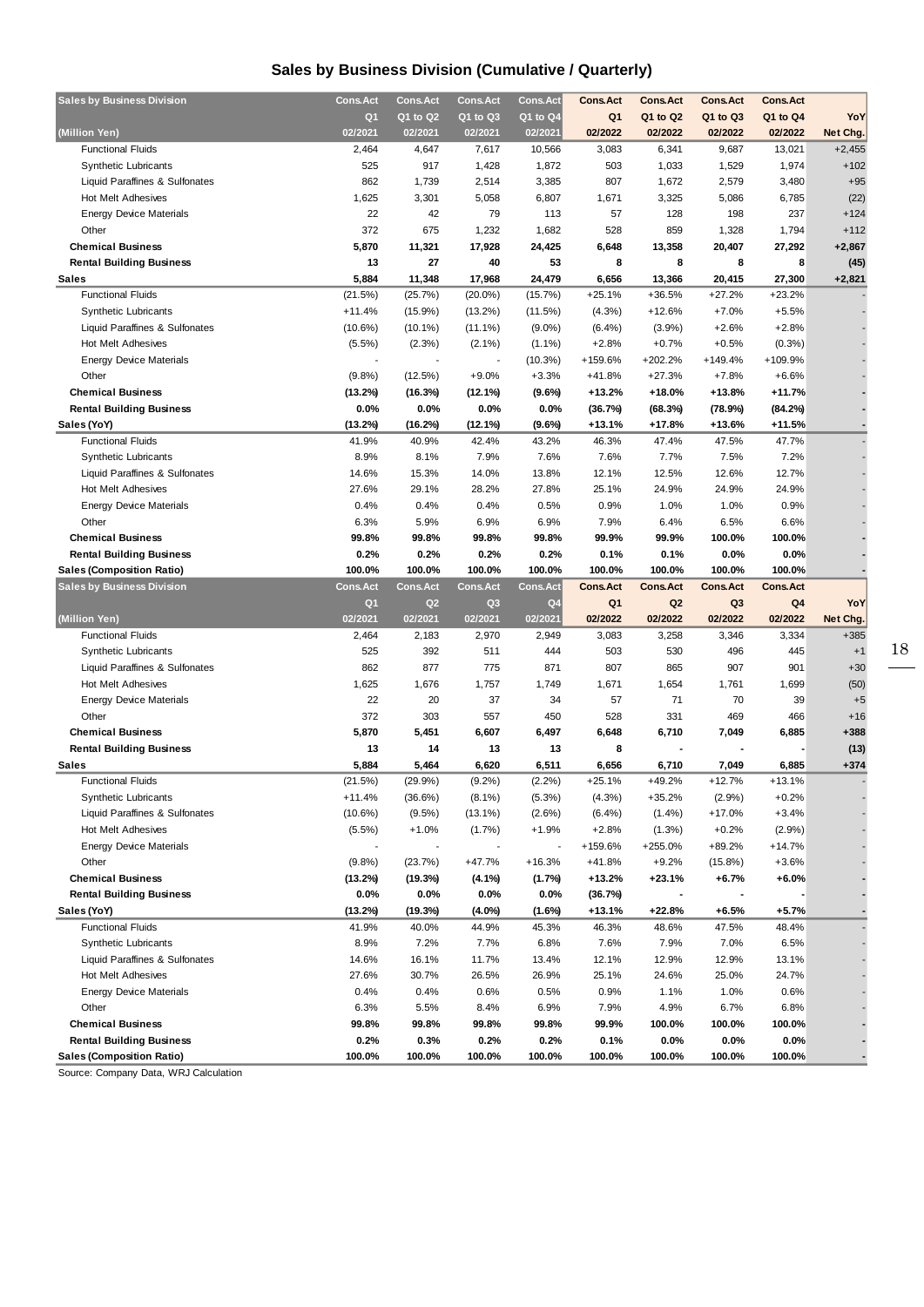## **Sales by Business Division (Cumulative / Quarterly)**

| <b>Sales by Business Division</b> | <b>Cons.Act</b> | <b>Cons.Act</b> | <b>Cons.Act</b> | <b>Cons.Act</b> | <b>Cons.Act</b> | <b>Cons.Act</b> | <b>Cons.Act</b> | <b>Cons.Act</b> |          |
|-----------------------------------|-----------------|-----------------|-----------------|-----------------|-----------------|-----------------|-----------------|-----------------|----------|
|                                   | Q1              | Q1 to Q2        | Q1 to Q3        | Q1 to Q4        | Q <sub>1</sub>  | Q1 to Q2        | Q1 to Q3        | Q1 to Q4        | YoY      |
| (Million Yen)                     | 02/2021         | 02/2021         | 02/2021         | 02/2021         | 02/2022         | 02/2022         | 02/2022         | 02/2022         | Net Chg. |
| <b>Functional Fluids</b>          | 2,464           | 4,647           | 7,617           | 10,566          | 3,083           | 6,341           | 9,687           | 13,021          | $+2,455$ |
| <b>Synthetic Lubricants</b>       | 525             | 917             | 1,428           | 1,872           | 503             | 1,033           | 1,529           | 1,974           | $+102$   |
| Liquid Paraffines & Sulfonates    | 862             | 1,739           | 2,514           | 3,385           | 807             | 1,672           | 2,579           | 3,480           | $+95$    |
| <b>Hot Melt Adhesives</b>         | 1,625           | 3,301           | 5,058           | 6,807           | 1,671           | 3,325           | 5,086           | 6,785           | (22)     |
| <b>Energy Device Materials</b>    | 22              | 42              | 79              | 113             | 57              | 128             | 198             | 237             | $+124$   |
| Other                             | 372             | 675             | 1,232           | 1,682           | 528             | 859             | 1,328           | 1,794           | $+112$   |
| <b>Chemical Business</b>          | 5,870           | 11,321          | 17,928          | 24,425          | 6,648           | 13,358          | 20,407          | 27,292          | $+2,867$ |
| <b>Rental Building Business</b>   | 13              | 27              | 40              | 53              | 8               | 8               | 8               | 8               | (45)     |
| Sales                             | 5,884           | 11,348          | 17,968          | 24,479          | 6,656           | 13,366          | 20,415          | 27,300          | $+2,821$ |
| <b>Functional Fluids</b>          | (21.5%)         | (25.7%)         | $(20.0\%)$      | (15.7%)         | $+25.1%$        | $+36.5%$        | $+27.2%$        | $+23.2%$        |          |
| <b>Synthetic Lubricants</b>       | $+11.4%$        | $(15.9\%)$      | $(13.2\%)$      | (11.5%)         | $(4.3\%)$       | $+12.6%$        | $+7.0%$         | $+5.5%$         |          |
| Liquid Paraffines & Sulfonates    | $(10.6\%)$      | $(10.1\%)$      | $(11.1\%)$      | $(9.0\%)$       | $(6.4\%)$       | $(3.9\%)$       | $+2.6%$         | $+2.8%$         |          |
| Hot Melt Adhesives                | (5.5%)          | (2.3%)          | $(2.1\%)$       | $(1.1\%)$       | $+2.8%$         | $+0.7%$         | $+0.5%$         | (0.3%)          |          |
| <b>Energy Device Materials</b>    |                 |                 |                 | (10.3%)         | +159.6%         | $+202.2%$       | $+149.4%$       | +109.9%         |          |
| Other                             | (9.8%)          | (12.5%)         | $+9.0%$         | $+3.3%$         | $+41.8%$        | $+27.3%$        | $+7.8%$         | $+6.6%$         |          |
| <b>Chemical Business</b>          | (13.2%)         | (16.3%)         | (12.1%)         | (9.6%)          | $+13.2%$        | $+18.0%$        | $+13.8%$        | $+11.7%$        |          |
| <b>Rental Building Business</b>   | $0.0\%$         | $0.0\%$         | 0.0%            | 0.0%            | (36.7%)         | (68.3%)         | (78.9%)         | (84.2%)         |          |
| Sales (YoY)                       | (13.2%)         | (16.2%)         | (12.1%)         | (9.6%)          | $+13.1%$        | $+17.8%$        | +13.6%          | $+11.5%$        |          |
| <b>Functional Fluids</b>          | 41.9%           | 40.9%           | 42.4%           | 43.2%           | 46.3%           | 47.4%           | 47.5%           | 47.7%           |          |
| <b>Synthetic Lubricants</b>       | 8.9%            | 8.1%            | 7.9%            | 7.6%            | 7.6%            | 7.7%            | 7.5%            | 7.2%            |          |
| Liquid Paraffines & Sulfonates    | 14.6%           | 15.3%           | 14.0%           | 13.8%           | 12.1%           | 12.5%           | 12.6%           | 12.7%           |          |
| <b>Hot Melt Adhesives</b>         | 27.6%           | 29.1%           | 28.2%           | 27.8%           | 25.1%           | 24.9%           | 24.9%           | 24.9%           |          |
| <b>Energy Device Materials</b>    | 0.4%            | 0.4%            | 0.4%            | 0.5%            | 0.9%            | 1.0%            | 1.0%            | 0.9%            |          |
| Other                             | 6.3%            | 5.9%            | 6.9%            | 6.9%            | 7.9%            | 6.4%            | 6.5%            | 6.6%            |          |
| <b>Chemical Business</b>          | 99.8%           | 99.8%           | 99.8%           | 99.8%           | 99.9%           | 99.9%           | 100.0%          | 100.0%          |          |
| <b>Rental Building Business</b>   | 0.2%            | 0.2%            | 0.2%            | 0.2%            | 0.1%            | 0.1%            | 0.0%            | 0.0%            |          |
| <b>Sales (Composition Ratio)</b>  | 100.0%          | 100.0%          | 100.0%          | 100.0%          | 100.0%          | 100.0%          | 100.0%          | 100.0%          |          |
| <b>Sales by Business Division</b> | <b>Cons.Act</b> | <b>Cons.Act</b> | <b>Cons.Act</b> | <b>Cons.Act</b> | <b>Cons.Act</b> | <b>Cons.Act</b> | <b>Cons.Act</b> | <b>Cons.Act</b> |          |
|                                   |                 |                 |                 |                 |                 |                 |                 |                 |          |
|                                   | Q1              | Q <sub>2</sub>  | Q3              | Q <sub>4</sub>  | Q <sub>1</sub>  | Q <sub>2</sub>  | Q <sub>3</sub>  | Q4              | YoY      |
| (Million Yen)                     | 02/2021         | 02/2021         | 02/2021         | 02/2021         | 02/2022         | 02/2022         | 02/2022         | 02/2022         | Net Chg. |
| <b>Functional Fluids</b>          | 2,464           | 2,183           | 2,970           | 2,949           | 3,083           | 3,258           | 3,346           | 3,334           | $+385$   |
| <b>Synthetic Lubricants</b>       | 525             | 392             | 511             | 444             | 503             | 530             | 496             | 445             | $+1$     |
| Liquid Paraffines & Sulfonates    | 862             | 877             | 775             | 871             | 807             | 865             | 907             | 901             | $+30$    |
| Hot Melt Adhesives                | 1,625           | 1,676           | 1,757           | 1,749           | 1,671           | 1,654           | 1,761           | 1,699           | (50)     |
| <b>Energy Device Materials</b>    | 22              | 20              | 37              | 34              | 57              | 71              | 70              | 39              | $+5$     |
| Other                             | 372             | 303             | 557             | 450             | 528             | 331             | 469             | 466             | $+16$    |
| <b>Chemical Business</b>          | 5,870           | 5,451           | 6,607           | 6,497           | 6,648           | 6,710           | 7,049           | 6,885           | +388     |
| <b>Rental Building Business</b>   | 13              | 14              | 13              | 13              | 8               |                 |                 |                 | (13)     |
| <b>Sales</b>                      | 5,884           | 5,464           | 6,620           | 6,511           | 6,656           | 6,710           | 7,049           | 6,885           | $+374$   |
| <b>Functional Fluids</b>          | (21.5%)         | (29.9%          | $(9.2\%)$       | (2.2%)          | $+25.1%$        | +49.2%          | $+12.7%$        | $+13.1%$        |          |
| Synthetic Lubricants              | $+11.4%$        | (36.6%)         | $(8.1\%)$       | (5.3%)          | (4.3%)          | +35.2%          | (2.9%)          | $+0.2%$         |          |
| Liquid Paraffines & Sulfonates    | $(10.6\%)$      | (9.5%)          | $(13.1\%)$      | (2.6%)          | (6.4%)          | $(1.4\%)$       | $+17.0%$        | $+3.4%$         |          |
| Hot Melt Adhesives                | (5.5%)          | $+1.0%$         | $(1.7\%)$       | $+1.9%$         | $+2.8%$         | (1.3%)          | $+0.2%$         | (2.9%)          |          |
| <b>Energy Device Materials</b>    |                 |                 |                 |                 | +159.6%         | +255.0%         | +89.2%          | $+14.7%$        |          |
| Other                             | (9.8%)          | (23.7%)         | $+47.7%$        | $+16.3%$        | $+41.8%$        | $+9.2%$         | $(15.8\%)$      | $+3.6%$         |          |
| <b>Chemical Business</b>          | (13.2%)         | (19.3%)         | $(4.1\%)$       | (1.7%)          | $+13.2%$        | $+23.1%$        | $+6.7%$         | $+6.0%$         |          |
| <b>Rental Building Business</b>   | 0.0%            | $0.0\%$         | 0.0%            | $0.0\%$         | (36.7%)         |                 |                 |                 |          |
| Sales (YoY)                       | (13.2%)         | (19.3%)         | $(4.0\%)$       | $(1.6\%)$       | +13.1%          | $+22.8%$        | +6.5%           | $+5.7%$         |          |
| <b>Functional Fluids</b>          | 41.9%           | 40.0%           | 44.9%           | 45.3%           | 46.3%           | 48.6%           | 47.5%           | 48.4%           |          |
| <b>Synthetic Lubricants</b>       | 8.9%            | 7.2%            | 7.7%            | 6.8%            | 7.6%            | 7.9%            | 7.0%            | 6.5%            |          |
| Liquid Paraffines & Sulfonates    | 14.6%           | 16.1%           | 11.7%           | 13.4%           | 12.1%           | 12.9%           | 12.9%           | 13.1%           |          |
| Hot Melt Adhesives                | 27.6%           | 30.7%           | 26.5%           | 26.9%           | 25.1%           | 24.6%           | 25.0%           | 24.7%           |          |
| <b>Energy Device Materials</b>    | 0.4%            | 0.4%            | 0.6%            | 0.5%            | 0.9%            | 1.1%            | 1.0%            | 0.6%            |          |
| Other                             | 6.3%            | 5.5%            | 8.4%            | 6.9%            | 7.9%            | 4.9%            | 6.7%            | 6.8%            |          |
| <b>Chemical Business</b>          | 99.8%           | 99.8%           | 99.8%           | 99.8%           | 99.9%           | 100.0%          | 100.0%          | 100.0%          |          |
| <b>Rental Building Business</b>   | 0.2%            | 0.3%            | 0.2%            | 0.2%            | 0.1%            | 0.0%            | 0.0%            | 0.0%            |          |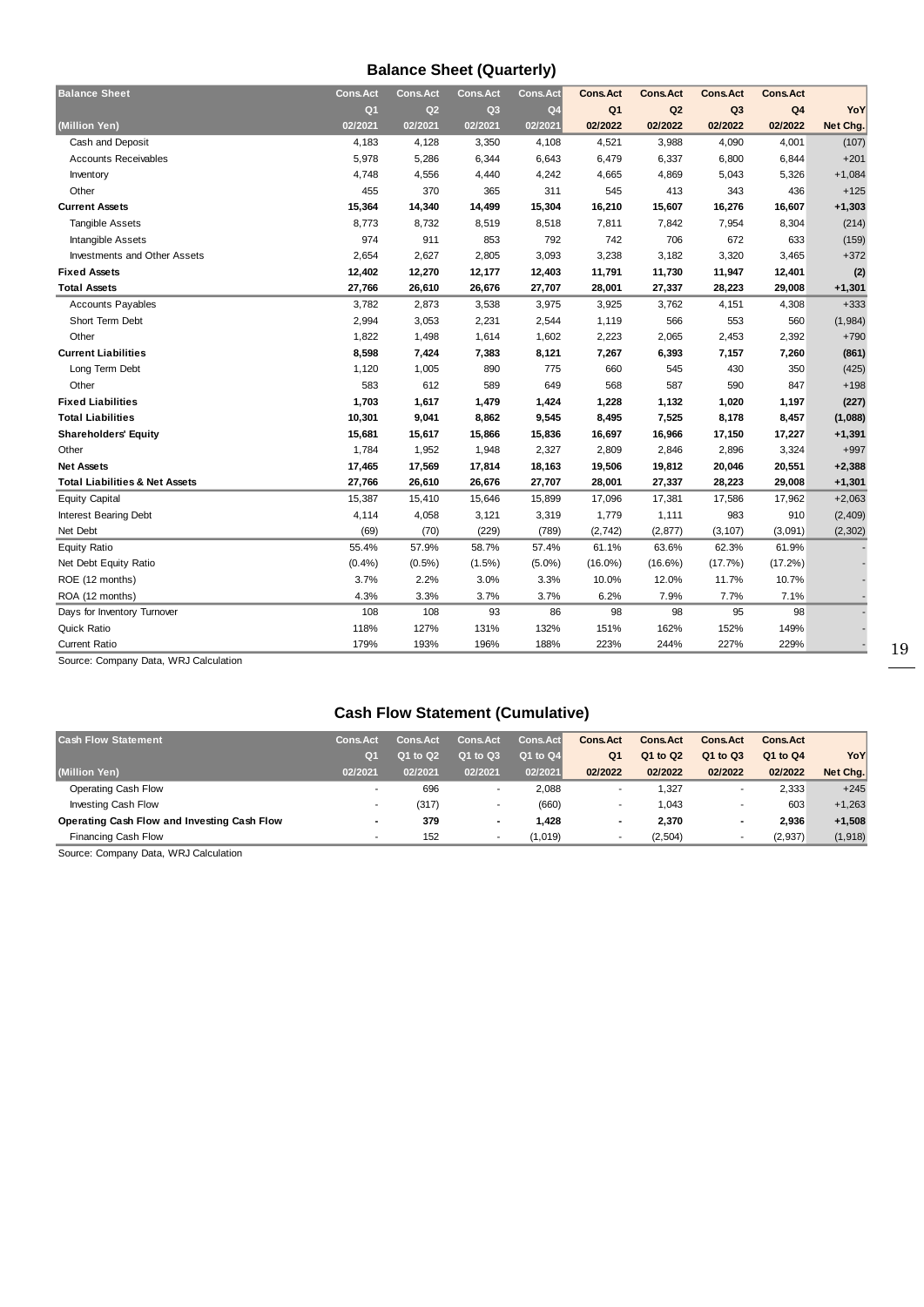## **Balance Sheet (Quarterly)**

| <b>Balance Sheet</b>                      | <b>Cons.Act</b> | <b>Cons.Act</b> | <b>Cons.Act</b> | Cons.Act       | <b>Cons.Act</b> | <b>Cons.Act</b> | <b>Cons.Act</b> | Cons.Act       |          |
|-------------------------------------------|-----------------|-----------------|-----------------|----------------|-----------------|-----------------|-----------------|----------------|----------|
|                                           | Q <sub>1</sub>  | Q2              | Q <sub>3</sub>  | Q <sub>4</sub> | Q <sub>1</sub>  | Q <sub>2</sub>  | Q <sub>3</sub>  | Q <sub>4</sub> | YoY      |
| (Million Yen)                             | 02/2021         | 02/2021         | 02/2021         | 02/2021        | 02/2022         | 02/2022         | 02/2022         | 02/2022        | Net Chg. |
| Cash and Deposit                          | 4,183           | 4,128           | 3,350           | 4,108          | 4,521           | 3,988           | 4,090           | 4,001          | (107)    |
| <b>Accounts Receivables</b>               | 5,978           | 5,286           | 6,344           | 6,643          | 6,479           | 6,337           | 6,800           | 6,844          | $+201$   |
| Inventory                                 | 4,748           | 4,556           | 4,440           | 4,242          | 4,665           | 4,869           | 5,043           | 5,326          | $+1,084$ |
| Other                                     | 455             | 370             | 365             | 311            | 545             | 413             | 343             | 436            | $+125$   |
| <b>Current Assets</b>                     | 15,364          | 14,340          | 14,499          | 15,304         | 16,210          | 15,607          | 16,276          | 16,607         | $+1,303$ |
| <b>Tangible Assets</b>                    | 8,773           | 8,732           | 8,519           | 8,518          | 7,811           | 7,842           | 7,954           | 8,304          | (214)    |
| Intangible Assets                         | 974             | 911             | 853             | 792            | 742             | 706             | 672             | 633            | (159)    |
| <b>Investments and Other Assets</b>       | 2,654           | 2,627           | 2,805           | 3,093          | 3,238           | 3,182           | 3,320           | 3,465          | $+372$   |
| <b>Fixed Assets</b>                       | 12,402          | 12,270          | 12,177          | 12,403         | 11,791          | 11,730          | 11,947          | 12,401         | (2)      |
| <b>Total Assets</b>                       | 27,766          | 26,610          | 26,676          | 27,707         | 28,001          | 27,337          | 28,223          | 29,008         | $+1,301$ |
| <b>Accounts Payables</b>                  | 3,782           | 2,873           | 3,538           | 3,975          | 3,925           | 3,762           | 4,151           | 4,308          | $+333$   |
| Short Term Debt                           | 2,994           | 3,053           | 2,231           | 2,544          | 1,119           | 566             | 553             | 560            | (1,984)  |
| Other                                     | 1,822           | 1,498           | 1,614           | 1,602          | 2,223           | 2,065           | 2,453           | 2,392          | $+790$   |
| <b>Current Liabilities</b>                | 8,598           | 7,424           | 7,383           | 8,121          | 7,267           | 6,393           | 7,157           | 7,260          | (861)    |
| Long Term Debt                            | 1,120           | 1,005           | 890             | 775            | 660             | 545             | 430             | 350            | (425)    |
| Other                                     | 583             | 612             | 589             | 649            | 568             | 587             | 590             | 847            | $+198$   |
| <b>Fixed Liabilities</b>                  | 1,703           | 1,617           | 1,479           | 1,424          | 1,228           | 1,132           | 1,020           | 1,197          | (227)    |
| <b>Total Liabilities</b>                  | 10,301          | 9,041           | 8,862           | 9,545          | 8,495           | 7,525           | 8,178           | 8,457          | (1,088)  |
| <b>Shareholders' Equity</b>               | 15,681          | 15,617          | 15,866          | 15,836         | 16,697          | 16,966          | 17,150          | 17,227         | $+1,391$ |
| Other                                     | 1,784           | 1,952           | 1,948           | 2,327          | 2,809           | 2,846           | 2,896           | 3,324          | $+997$   |
| <b>Net Assets</b>                         | 17,465          | 17,569          | 17,814          | 18,163         | 19,506          | 19,812          | 20,046          | 20,551         | $+2,388$ |
| <b>Total Liabilities &amp; Net Assets</b> | 27,766          | 26,610          | 26,676          | 27,707         | 28,001          | 27,337          | 28,223          | 29,008         | $+1,301$ |
| <b>Equity Capital</b>                     | 15,387          | 15,410          | 15,646          | 15,899         | 17,096          | 17,381          | 17,586          | 17,962         | $+2,063$ |
| Interest Bearing Debt                     | 4,114           | 4,058           | 3,121           | 3,319          | 1,779           | 1,111           | 983             | 910            | (2, 409) |
| Net Debt                                  | (69)            | (70)            | (229)           | (789)          | (2, 742)        | (2, 877)        | (3, 107)        | (3,091)        | (2, 302) |
| <b>Equity Ratio</b>                       | 55.4%           | 57.9%           | 58.7%           | 57.4%          | 61.1%           | 63.6%           | 62.3%           | 61.9%          |          |
| Net Debt Equity Ratio                     | (0.4% )         | $(0.5\%)$       | $(1.5\%)$       | $(5.0\%)$      | $(16.0\%)$      | $(16.6\%)$      | (17.7%)         | (17.2%)        |          |
| ROE (12 months)                           | 3.7%            | 2.2%            | 3.0%            | 3.3%           | 10.0%           | 12.0%           | 11.7%           | 10.7%          |          |
| ROA (12 months)                           | 4.3%            | 3.3%            | 3.7%            | 3.7%           | 6.2%            | 7.9%            | 7.7%            | 7.1%           |          |
| Days for Inventory Turnover               | 108             | 108             | 93              | 86             | 98              | 98              | 95              | 98             |          |
| Quick Ratio                               | 118%            | 127%            | 131%            | 132%           | 151%            | 162%            | 152%            | 149%           |          |
| <b>Current Ratio</b>                      | 179%            | 193%            | 196%            | 188%           | 223%            | 244%            | 227%            | 229%           |          |

Source: Company Data, WRJ Calculation

## **Cash Flow Statement (Cumulative)**

| <b>Cash Flow Statement</b>                  | <b>Cons.Act</b>          | <b>Cons.Act</b> | <b>Cons.Act</b> | Cons.Act | <b>Cons.Act</b>          | <b>Cons.Act</b> | <b>Cons.Act</b> | <b>Cons.Act</b> |          |
|---------------------------------------------|--------------------------|-----------------|-----------------|----------|--------------------------|-----------------|-----------------|-----------------|----------|
|                                             | O <sub>1</sub>           | 01 to 02        | Q1 to Q3        | Q1 to Q4 | Q <sub>1</sub>           | Q1 to Q2        | Q1 to Q3        | Q1 to Q4        | YoY      |
| (Million Yen)                               | 02/2021                  | 02/2021         | 02/2021         | 02/2021  | 02/2022                  | 02/2022         | 02/2022         | 02/2022         | Net Chg. |
| Operating Cash Flow                         |                          | 696             |                 | 2,088    |                          | 1,327           |                 | 2.333           | $+245$   |
| Investing Cash Flow                         |                          | (317)           |                 | (660)    |                          | 1,043           |                 | 603             | $+1.263$ |
| Operating Cash Flow and Investing Cash Flow | $\blacksquare$           | 379             |                 | 1.428    | $\overline{\phantom{0}}$ | 2,370           |                 | 2.936           | $+1,508$ |
| Financing Cash Flow                         | $\overline{\phantom{a}}$ | 152             |                 | (1.019)  |                          | (2,504)         |                 | (2, 937)        | (1, 918) |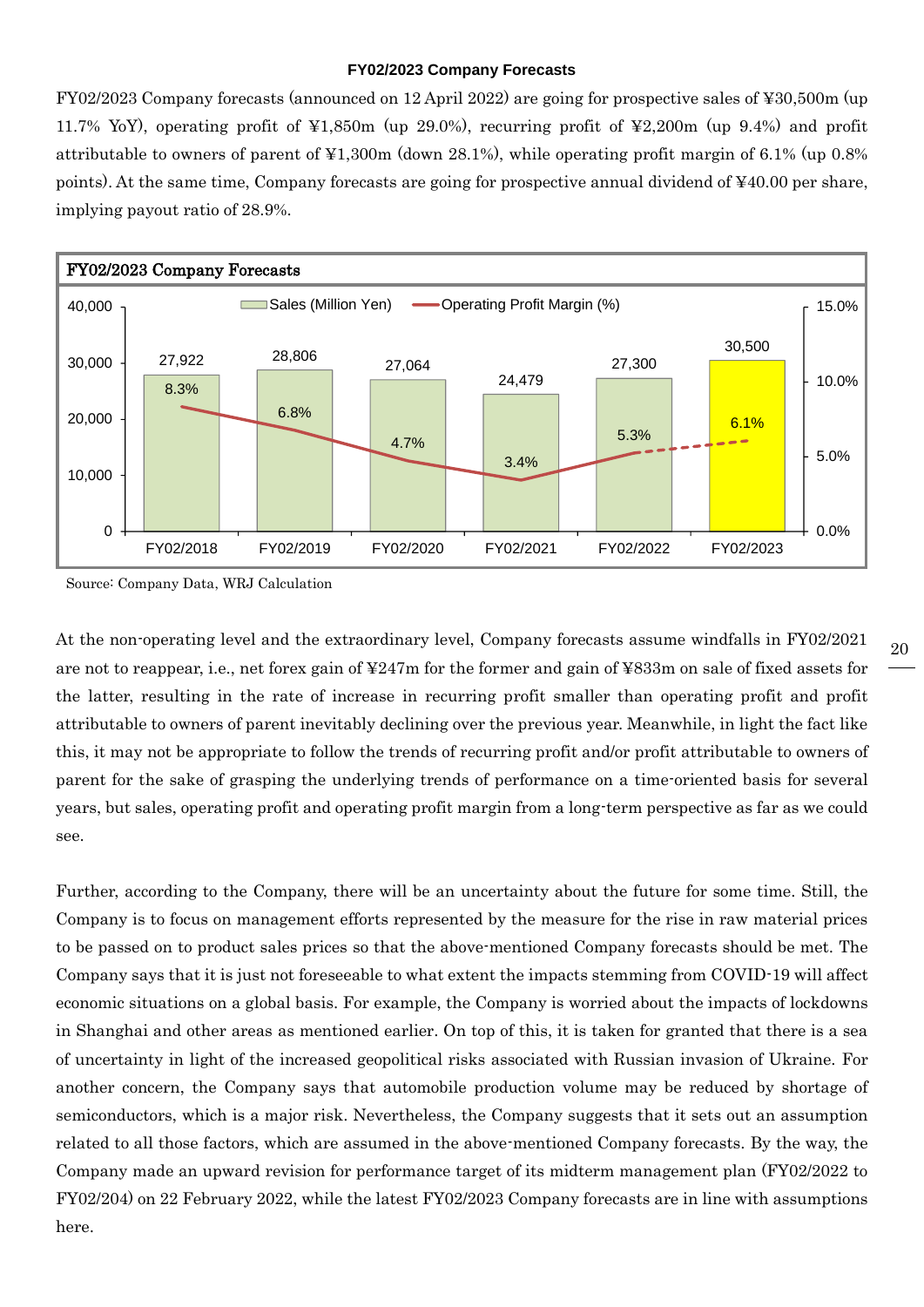#### **FY02/2023 Company Forecasts**

FY02/2023 Company forecasts (announced on 12 April 2022) are going for prospective sales of ¥30,500m (up 11.7% YoY), operating profit of ¥1,850m (up 29.0%), recurring profit of ¥2,200m (up 9.4%) and profit attributable to owners of parent of ¥1,300m (down 28.1%), while operating profit margin of 6.1% (up 0.8% points). At the same time, Company forecasts are going for prospective annual dividend of ¥40.00 per share, implying payout ratio of 28.9%.



Source: Company Data, WRJ Calculation

At the non-operating level and the extraordinary level, Company forecasts assume windfalls in FY02/2021 are not to reappear, i.e., net forex gain of ¥247m for the former and gain of ¥833m on sale of fixed assets for the latter, resulting in the rate of increase in recurring profit smaller than operating profit and profit attributable to owners of parent inevitably declining over the previous year. Meanwhile, in light the fact like this, it may not be appropriate to follow the trends of recurring profit and/or profit attributable to owners of parent for the sake of grasping the underlying trends of performance on a time-oriented basis for several years, but sales, operating profit and operating profit margin from a long-term perspective as far as we could see.

Further, according to the Company, there will be an uncertainty about the future for some time. Still, the Company is to focus on management efforts represented by the measure for the rise in raw material prices to be passed on to product sales prices so that the above-mentioned Company forecasts should be met. The Company says that it is just not foreseeable to what extent the impacts stemming from COVID-19 will affect economic situations on a global basis. For example, the Company is worried about the impacts of lockdowns in Shanghai and other areas as mentioned earlier. On top of this, it is taken for granted that there is a sea of uncertainty in light of the increased geopolitical risks associated with Russian invasion of Ukraine. For another concern, the Company says that automobile production volume may be reduced by shortage of semiconductors, which is a major risk. Nevertheless, the Company suggests that it sets out an assumption related to all those factors, which are assumed in the above-mentioned Company forecasts. By the way, the Company made an upward revision for performance target of its midterm management plan (FY02/2022 to FY02/204) on 22 February 2022, while the latest FY02/2023 Company forecasts are in line with assumptions here. 27,922 28,806 27,064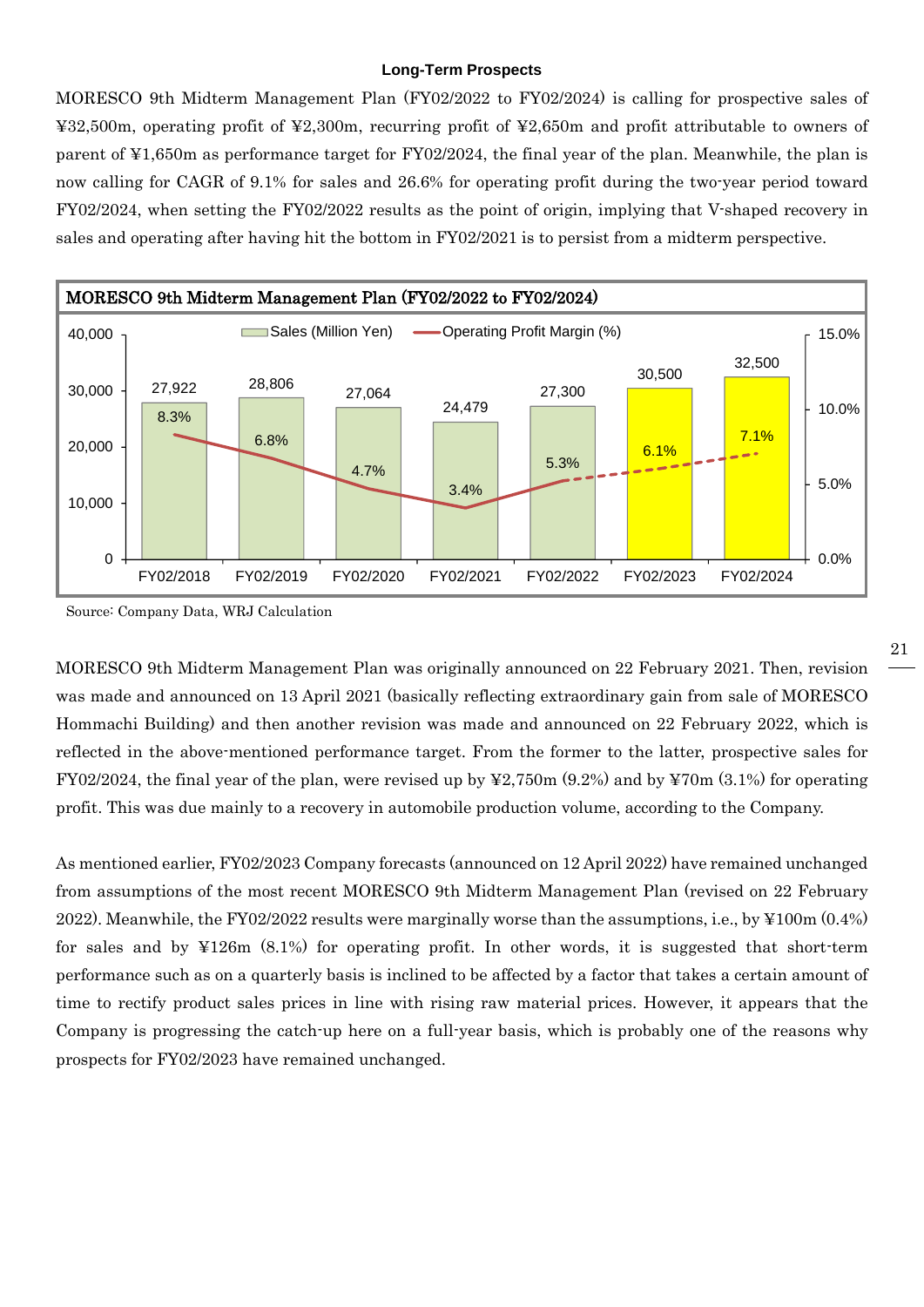#### **Long-Term Prospects**

MORESCO 9th Midterm Management Plan (FY02/2022 to FY02/2024) is calling for prospective sales of ¥32,500m, operating profit of ¥2,300m, recurring profit of ¥2,650m and profit attributable to owners of parent of ¥1,650m as performance target for FY02/2024, the final year of the plan. Meanwhile, the plan is now calling for CAGR of 9.1% for sales and 26.6% for operating profit during the two-year period toward FY02/2024, when setting the FY02/2022 results as the point of origin, implying that V-shaped recovery in sales and operating after having hit the bottom in FY02/2021 is to persist from a midterm perspective.



Source: Company Data, WRJ Calculation

MORESCO 9th Midterm Management Plan was originally announced on 22 February 2021. Then, revision was made and announced on 13 April 2021 (basically reflecting extraordinary gain from sale of MORESCO Hommachi Building) and then another revision was made and announced on 22 February 2022, which is reflected in the above-mentioned performance target. From the former to the latter, prospective sales for FY02/2024, the final year of the plan, were revised up by  $\frac{1}{2}2,750$  m (9.2%) and by  $\frac{1}{2}70$  m (3.1%) for operating profit. This was due mainly to a recovery in automobile production volume, according to the Company.

As mentioned earlier, FY02/2023 Company forecasts (announced on 12 April 2022) have remained unchanged from assumptions of the most recent MORESCO 9th Midterm Management Plan (revised on 22 February 2022). Meanwhile, the FY02/2022 results were marginally worse than the assumptions, i.e., by ¥100m (0.4%) for sales and by ¥126m (8.1%) for operating profit. In other words, it is suggested that short-term performance such as on a quarterly basis is inclined to be affected by a factor that takes a certain amount of time to rectify product sales prices in line with rising raw material prices. However, it appears that the Company is progressing the catch-up here on a full-year basis, which is probably one of the reasons why prospects for FY02/2023 have remained unchanged.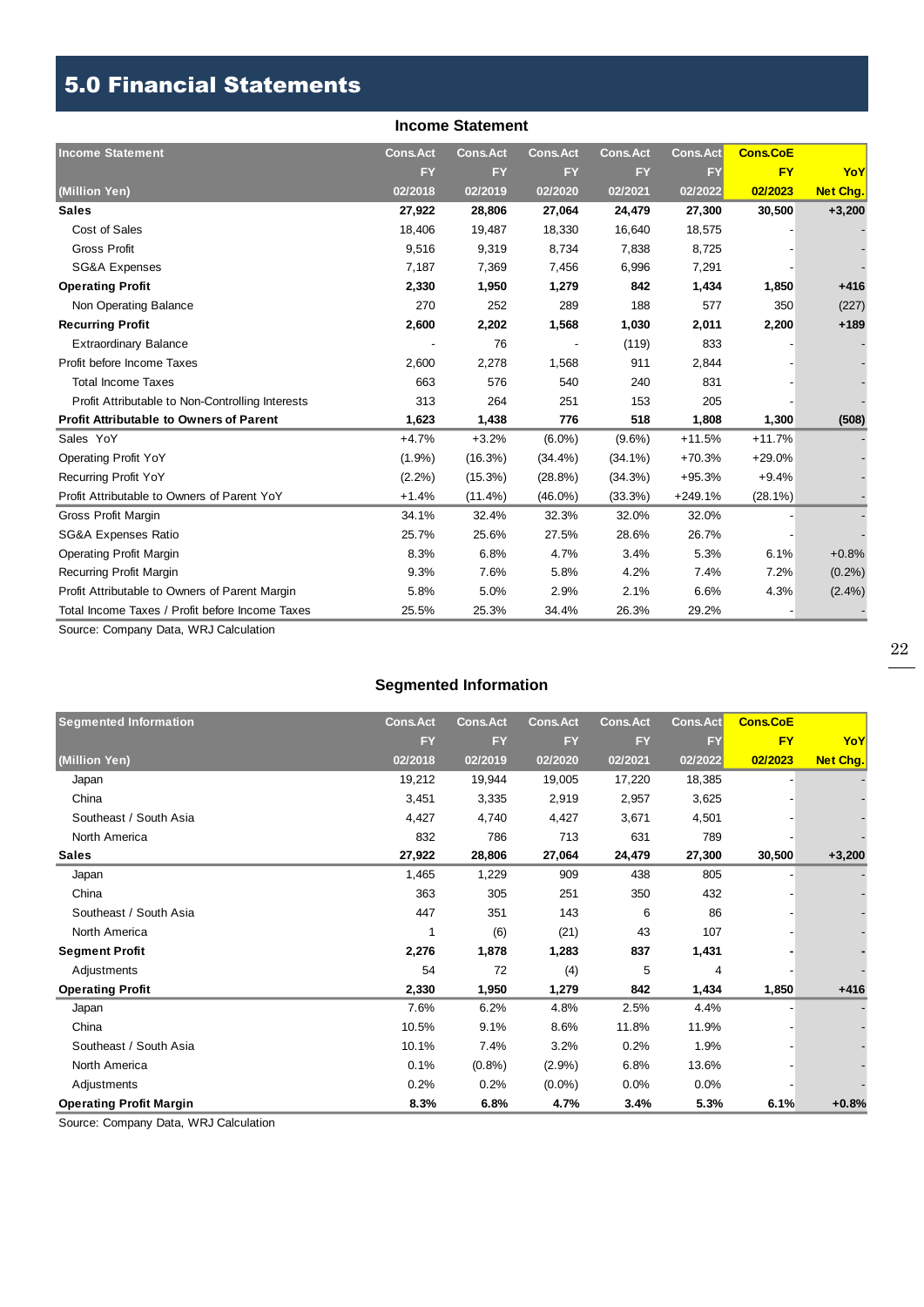## 5.0 Financial Statements

|                                                  |                 | <b>Income Statement</b> |                 |                 |                 |                 |                 |
|--------------------------------------------------|-----------------|-------------------------|-----------------|-----------------|-----------------|-----------------|-----------------|
| <b>Income Statement</b>                          | <b>Cons.Act</b> | <b>Cons.Act</b>         | <b>Cons.Act</b> | <b>Cons.Act</b> | <b>Cons.Act</b> | <b>Cons.CoE</b> |                 |
|                                                  | <b>FY</b>       | <b>FY</b>               | <b>FY</b>       | <b>FY</b>       | <b>FY</b>       | <b>FY</b>       | YoY             |
| (Million Yen)                                    | 02/2018         | 02/2019                 | 02/2020         | 02/2021         | 02/2022         | 02/2023         | <b>Net Chg.</b> |
| <b>Sales</b>                                     | 27,922          | 28,806                  | 27,064          | 24,479          | 27,300          | 30,500          | $+3,200$        |
| Cost of Sales                                    | 18,406          | 19,487                  | 18,330          | 16,640          | 18,575          |                 |                 |
| <b>Gross Profit</b>                              | 9,516           | 9,319                   | 8,734           | 7,838           | 8,725           |                 |                 |
| <b>SG&amp;A Expenses</b>                         | 7,187           | 7,369                   | 7,456           | 6,996           | 7,291           |                 |                 |
| <b>Operating Profit</b>                          | 2,330           | 1,950                   | 1,279           | 842             | 1,434           | 1,850           | $+416$          |
| Non Operating Balance                            | 270             | 252                     | 289             | 188             | 577             | 350             | (227)           |
| <b>Recurring Profit</b>                          | 2,600           | 2,202                   | 1,568           | 1,030           | 2,011           | 2,200           | $+189$          |
| <b>Extraordinary Balance</b>                     |                 | 76                      |                 | (119)           | 833             |                 |                 |
| Profit before Income Taxes                       | 2,600           | 2,278                   | 1,568           | 911             | 2,844           |                 |                 |
| <b>Total Income Taxes</b>                        | 663             | 576                     | 540             | 240             | 831             |                 |                 |
| Profit Attributable to Non-Controlling Interests | 313             | 264                     | 251             | 153             | 205             |                 |                 |
| <b>Profit Attributable to Owners of Parent</b>   | 1,623           | 1,438                   | 776             | 518             | 1,808           | 1,300           | (508)           |
| Sales YoY                                        | $+4.7%$         | $+3.2%$                 | $(6.0\%)$       | $(9.6\%)$       | $+11.5%$        | $+11.7%$        |                 |
| <b>Operating Profit YoY</b>                      | $(1.9\%)$       | (16.3%)                 | $(34.4\%)$      | $(34.1\%)$      | $+70.3%$        | +29.0%          |                 |
| <b>Recurring Profit YoY</b>                      | $(2.2\%)$       | $(15.3\%)$              | $(28.8\%)$      | $(34.3\%)$      | $+95.3%$        | $+9.4%$         |                 |
| Profit Attributable to Owners of Parent YoY      | $+1.4%$         | $(11.4\%)$              | $(46.0\%)$      | (33.3%)         | $+249.1%$       | $(28.1\%)$      |                 |
| Gross Profit Margin                              | 34.1%           | 32.4%                   | 32.3%           | 32.0%           | 32.0%           |                 |                 |
| <b>SG&amp;A Expenses Ratio</b>                   | 25.7%           | 25.6%                   | 27.5%           | 28.6%           | 26.7%           |                 |                 |
| <b>Operating Profit Margin</b>                   | 8.3%            | 6.8%                    | 4.7%            | 3.4%            | 5.3%            | 6.1%            | $+0.8%$         |
| <b>Recurring Profit Margin</b>                   | 9.3%            | 7.6%                    | 5.8%            | 4.2%            | 7.4%            | 7.2%            | $(0.2\%)$       |
| Profit Attributable to Owners of Parent Margin   | 5.8%            | 5.0%                    | 2.9%            | 2.1%            | 6.6%            | 4.3%            | $(2.4\%)$       |
| Total Income Taxes / Profit before Income Taxes  | 25.5%           | 25.3%                   | 34.4%           | 26.3%           | 29.2%           |                 |                 |

Source: Company Data, WRJ Calculation

## **Segmented Information**

| <b>Segmented Information</b>   | <b>Cons.Act</b> | <b>Cons.Act</b> | <b>Cons.Act</b> | <b>Cons.Act</b> | Cons.Act | <b>Cons.CoE</b> |                 |
|--------------------------------|-----------------|-----------------|-----------------|-----------------|----------|-----------------|-----------------|
|                                | <b>FY</b>       | <b>FY</b>       | <b>FY</b>       | <b>FY</b>       | FY       | <b>FY</b>       | YoY             |
| (Million Yen)                  | 02/2018         | 02/2019         | 02/2020         | 02/2021         | 02/2022  | 02/2023         | <b>Net Chg.</b> |
| Japan                          | 19,212          | 19,944          | 19,005          | 17,220          | 18,385   |                 |                 |
| China                          | 3,451           | 3,335           | 2,919           | 2,957           | 3,625    |                 |                 |
| Southeast / South Asia         | 4,427           | 4,740           | 4,427           | 3,671           | 4,501    |                 |                 |
| North America                  | 832             | 786             | 713             | 631             | 789      |                 |                 |
| <b>Sales</b>                   | 27,922          | 28,806          | 27,064          | 24,479          | 27,300   | 30,500          | $+3,200$        |
| Japan                          | 1,465           | 1,229           | 909             | 438             | 805      |                 |                 |
| China                          | 363             | 305             | 251             | 350             | 432      |                 |                 |
| Southeast / South Asia         | 447             | 351             | 143             | 6               | 86       |                 |                 |
| North America                  |                 | (6)             | (21)            | 43              | 107      |                 |                 |
| <b>Segment Profit</b>          | 2,276           | 1,878           | 1,283           | 837             | 1,431    |                 |                 |
| Adjustments                    | 54              | 72              | (4)             | 5               | 4        |                 |                 |
| <b>Operating Profit</b>        | 2,330           | 1,950           | 1,279           | 842             | 1,434    | 1,850           | $+416$          |
| Japan                          | 7.6%            | 6.2%            | 4.8%            | 2.5%            | 4.4%     |                 |                 |
| China                          | 10.5%           | 9.1%            | 8.6%            | 11.8%           | 11.9%    |                 |                 |
| Southeast / South Asia         | 10.1%           | 7.4%            | 3.2%            | 0.2%            | 1.9%     |                 |                 |
| North America                  | 0.1%            | $(0.8\%)$       | $(2.9\%)$       | 6.8%            | 13.6%    |                 |                 |
| Adjustments                    | 0.2%            | 0.2%            | $(0.0\%)$       | 0.0%            | 0.0%     |                 |                 |
| <b>Operating Profit Margin</b> | 8.3%            | 6.8%            | 4.7%            | 3.4%            | 5.3%     | 6.1%            | $+0.8%$         |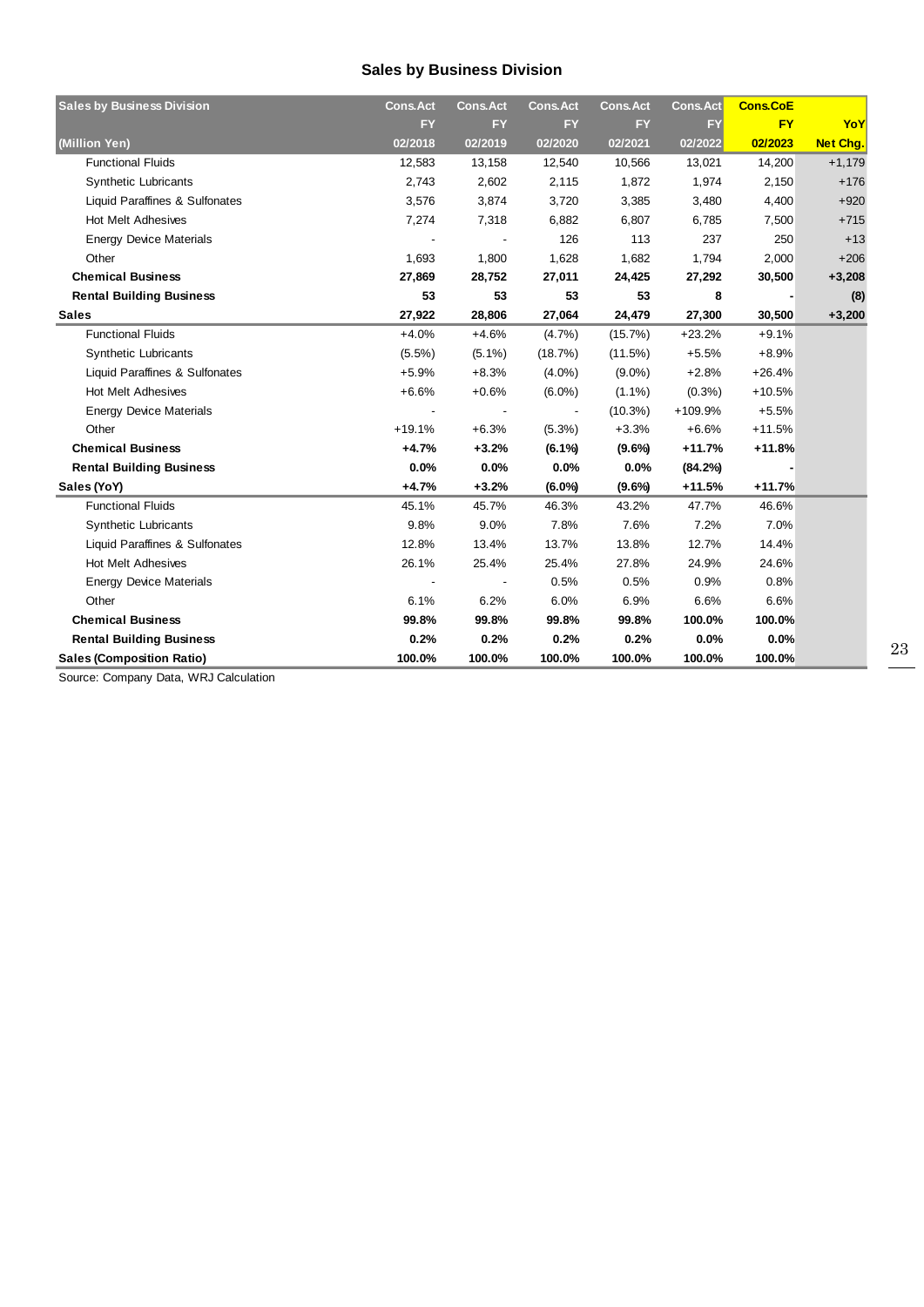## **Sales by Business Division**

| <b>Sales by Business Division</b> | <b>Cons.Act</b> | <b>Cons.Act</b> | <b>Cons.Act</b> | <b>Cons.Act</b> | <b>Cons.Act</b> | <b>Cons.CoE</b> |                 |
|-----------------------------------|-----------------|-----------------|-----------------|-----------------|-----------------|-----------------|-----------------|
|                                   | <b>FY</b>       | <b>FY</b>       | <b>FY</b>       | <b>FY</b>       | <b>FY</b>       | <b>FY</b>       | YoY             |
| (Million Yen)                     | 02/2018         | 02/2019         | 02/2020         | 02/2021         | 02/2022         | 02/2023         | <b>Net Chg.</b> |
| <b>Functional Fluids</b>          | 12,583          | 13,158          | 12,540          | 10,566          | 13,021          | 14,200          | $+1,179$        |
| <b>Synthetic Lubricants</b>       | 2,743           | 2,602           | 2,115           | 1,872           | 1,974           | 2,150           | $+176$          |
| Liquid Paraffines & Sulfonates    | 3,576           | 3,874           | 3,720           | 3,385           | 3,480           | 4,400           | $+920$          |
| <b>Hot Melt Adhesives</b>         | 7,274           | 7,318           | 6,882           | 6,807           | 6,785           | 7,500           | $+715$          |
| <b>Energy Device Materials</b>    |                 |                 | 126             | 113             | 237             | 250             | $+13$           |
| Other                             | 1,693           | 1,800           | 1,628           | 1,682           | 1,794           | 2,000           | $+206$          |
| <b>Chemical Business</b>          | 27,869          | 28,752          | 27,011          | 24,425          | 27,292          | 30,500          | $+3,208$        |
| <b>Rental Building Business</b>   | 53              | 53              | 53              | 53              | 8               |                 | (8)             |
| <b>Sales</b>                      | 27,922          | 28,806          | 27,064          | 24,479          | 27,300          | 30,500          | $+3,200$        |
| <b>Functional Fluids</b>          | $+4.0%$         | $+4.6%$         | $(4.7\%)$       | $(15.7\%)$      | $+23.2%$        | $+9.1%$         |                 |
| <b>Synthetic Lubricants</b>       | $(5.5\%)$       | $(5.1\%)$       | (18.7%)         | (11.5%)         | $+5.5%$         | $+8.9%$         |                 |
| Liquid Paraffines & Sulfonates    | $+5.9%$         | $+8.3%$         | $(4.0\%)$       | $(9.0\%)$       | $+2.8%$         | $+26.4%$        |                 |
| <b>Hot Melt Adhesives</b>         | $+6.6%$         | $+0.6%$         | $(6.0\%)$       | $(1.1\%)$       | $(0.3\%)$       | $+10.5%$        |                 |
| <b>Energy Device Materials</b>    |                 |                 |                 | $(10.3\%)$      | +109.9%         | $+5.5%$         |                 |
| Other                             | $+19.1%$        | $+6.3%$         | $(5.3\%)$       | $+3.3%$         | $+6.6%$         | $+11.5%$        |                 |
| <b>Chemical Business</b>          | $+4.7%$         | $+3.2%$         | $(6.1\%)$       | $(9.6\%)$       | $+11.7%$        | $+11.8%$        |                 |
| <b>Rental Building Business</b>   | 0.0%            | 0.0%            | 0.0%            | 0.0%            | (84.2%)         |                 |                 |
| Sales (YoY)                       | $+4.7%$         | $+3.2%$         | $(6.0\%)$       | $(9.6\%)$       | $+11.5%$        | $+11.7%$        |                 |
| <b>Functional Fluids</b>          | 45.1%           | 45.7%           | 46.3%           | 43.2%           | 47.7%           | 46.6%           |                 |
| <b>Synthetic Lubricants</b>       | 9.8%            | 9.0%            | 7.8%            | 7.6%            | 7.2%            | 7.0%            |                 |
| Liquid Paraffines & Sulfonates    | 12.8%           | 13.4%           | 13.7%           | 13.8%           | 12.7%           | 14.4%           |                 |
| <b>Hot Melt Adhesives</b>         | 26.1%           | 25.4%           | 25.4%           | 27.8%           | 24.9%           | 24.6%           |                 |
| <b>Energy Device Materials</b>    |                 |                 | 0.5%            | 0.5%            | 0.9%            | 0.8%            |                 |
| Other                             | 6.1%            | 6.2%            | 6.0%            | 6.9%            | 6.6%            | 6.6%            |                 |
| <b>Chemical Business</b>          | 99.8%           | 99.8%           | 99.8%           | 99.8%           | 100.0%          | 100.0%          |                 |
| <b>Rental Building Business</b>   | 0.2%            | 0.2%            | 0.2%            | 0.2%            | 0.0%            | 0.0%            |                 |
| <b>Sales (Composition Ratio)</b>  | 100.0%          | 100.0%          | 100.0%          | 100.0%          | 100.0%          | 100.0%          |                 |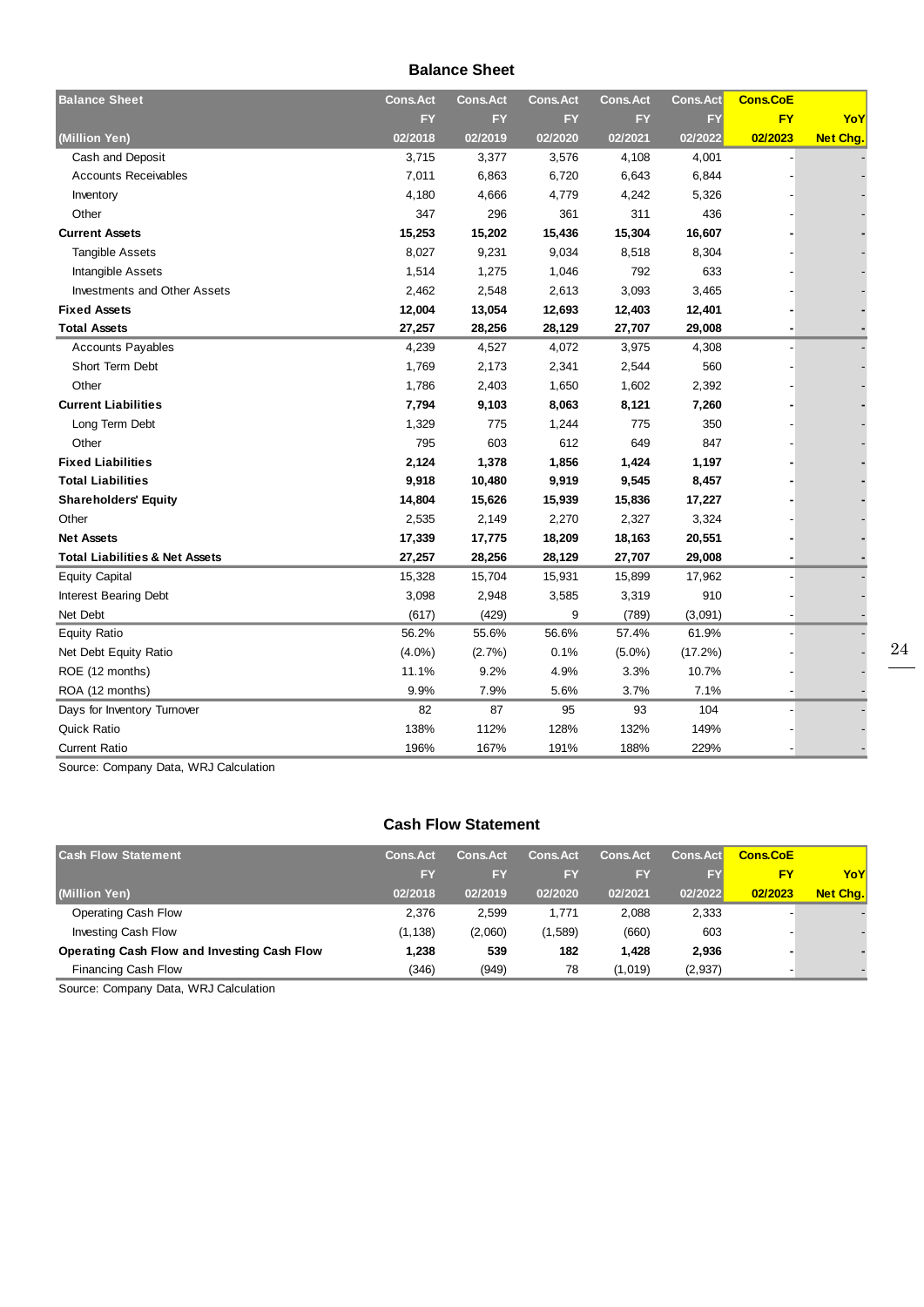#### **Balance Sheet**

| <b>Balance Sheet</b>                      | <b>Cons.Act</b> | <b>Cons.Act</b> | <b>Cons.Act</b> | <b>Cons.Act</b> | <b>Cons.Act</b> | <b>Cons.CoE</b> |                 |
|-------------------------------------------|-----------------|-----------------|-----------------|-----------------|-----------------|-----------------|-----------------|
|                                           | <b>FY</b>       | <b>FY</b>       | <b>FY</b>       | <b>FY</b>       | FY              | <b>FY</b>       | YoY             |
| (Million Yen)                             | 02/2018         | 02/2019         | 02/2020         | 02/2021         | 02/2022         | 02/2023         | <b>Net Chg.</b> |
| Cash and Deposit                          | 3,715           | 3,377           | 3,576           | 4,108           | 4,001           |                 |                 |
| <b>Accounts Receivables</b>               | 7,011           | 6,863           | 6,720           | 6,643           | 6,844           |                 |                 |
| Inventory                                 | 4,180           | 4,666           | 4,779           | 4,242           | 5,326           |                 |                 |
| Other                                     | 347             | 296             | 361             | 311             | 436             |                 |                 |
| <b>Current Assets</b>                     | 15,253          | 15,202          | 15,436          | 15,304          | 16,607          |                 |                 |
| <b>Tangible Assets</b>                    | 8,027           | 9,231           | 9,034           | 8,518           | 8,304           |                 |                 |
| Intangible Assets                         | 1,514           | 1,275           | 1,046           | 792             | 633             |                 |                 |
| <b>Investments and Other Assets</b>       | 2,462           | 2,548           | 2,613           | 3,093           | 3,465           |                 |                 |
| <b>Fixed Assets</b>                       | 12,004          | 13,054          | 12,693          | 12,403          | 12,401          |                 |                 |
| <b>Total Assets</b>                       | 27,257          | 28,256          | 28,129          | 27,707          | 29,008          |                 |                 |
| <b>Accounts Payables</b>                  | 4,239           | 4,527           | 4,072           | 3,975           | 4,308           |                 |                 |
| Short Term Debt                           | 1,769           | 2,173           | 2,341           | 2,544           | 560             |                 |                 |
| Other                                     | 1,786           | 2,403           | 1,650           | 1,602           | 2,392           |                 |                 |
| <b>Current Liabilities</b>                | 7,794           | 9,103           | 8,063           | 8,121           | 7,260           |                 |                 |
| Long Term Debt                            | 1,329           | 775             | 1,244           | 775             | 350             |                 |                 |
| Other                                     | 795             | 603             | 612             | 649             | 847             |                 |                 |
| <b>Fixed Liabilities</b>                  | 2,124           | 1,378           | 1,856           | 1,424           | 1,197           |                 |                 |
| <b>Total Liabilities</b>                  | 9,918           | 10,480          | 9,919           | 9,545           | 8,457           |                 |                 |
| <b>Shareholders' Equity</b>               | 14,804          | 15,626          | 15,939          | 15,836          | 17,227          |                 |                 |
| Other                                     | 2,535           | 2,149           | 2,270           | 2,327           | 3,324           |                 |                 |
| <b>Net Assets</b>                         | 17,339          | 17,775          | 18,209          | 18,163          | 20,551          |                 |                 |
| <b>Total Liabilities &amp; Net Assets</b> | 27,257          | 28,256          | 28,129          | 27,707          | 29,008          |                 |                 |
| <b>Equity Capital</b>                     | 15,328          | 15,704          | 15,931          | 15,899          | 17,962          |                 |                 |
| <b>Interest Bearing Debt</b>              | 3,098           | 2,948           | 3,585           | 3,319           | 910             |                 |                 |
| Net Debt                                  | (617)           | (429)           | 9               | (789)           | (3,091)         |                 |                 |
| <b>Equity Ratio</b>                       | 56.2%           | 55.6%           | 56.6%           | 57.4%           | 61.9%           |                 |                 |
| Net Debt Equity Ratio                     | $(4.0\%)$       | (2.7%)          | 0.1%            | $(5.0\%)$       | (17.2%)         |                 |                 |
| ROE (12 months)                           | 11.1%           | 9.2%            | 4.9%            | 3.3%            | 10.7%           |                 |                 |
| ROA (12 months)                           | 9.9%            | 7.9%            | 5.6%            | 3.7%            | 7.1%            |                 |                 |
| Days for Inventory Turnover               | 82              | 87              | 95              | 93              | 104             |                 |                 |
| <b>Quick Ratio</b>                        | 138%            | 112%            | 128%            | 132%            | 149%            |                 |                 |
| <b>Current Ratio</b>                      | 196%            | 167%            | 191%            | 188%            | 229%            |                 |                 |

Source: Company Data, WRJ Calculation

## **Cash Flow Statement**

| <b>Cash Flow Statement</b>                  | <b>Cons.Act</b> | <b>Cons.Act</b> | <b>Cons.Act</b> | <b>Cons.Act</b> | <b>Cons.Act</b> | <b>Cons.CoE</b> |                 |
|---------------------------------------------|-----------------|-----------------|-----------------|-----------------|-----------------|-----------------|-----------------|
|                                             | <b>FY</b>       | FY              | EY              | <b>FY</b>       | <b>FY</b>       | F۲              | YoY             |
| (Million Yen)                               | 02/2018         | 02/2019         | 02/2020         | 02/2021         | 02/2022         | 02/2023         | <b>Net Chg.</b> |
| Operating Cash Flow                         | 2.376           | 2.599           | 1.771           | 2.088           | 2,333           |                 |                 |
| Investing Cash Flow                         | (1, 138)        | (2,060)         | (1,589)         | (660)           | 603             |                 |                 |
| Operating Cash Flow and Investing Cash Flow | 1.238           | 539             | 182             | 1.428           | 2,936           |                 |                 |
| Financing Cash Flow                         | (346)           | (949)           | 78              | (1,019)         | (2,937)         |                 |                 |